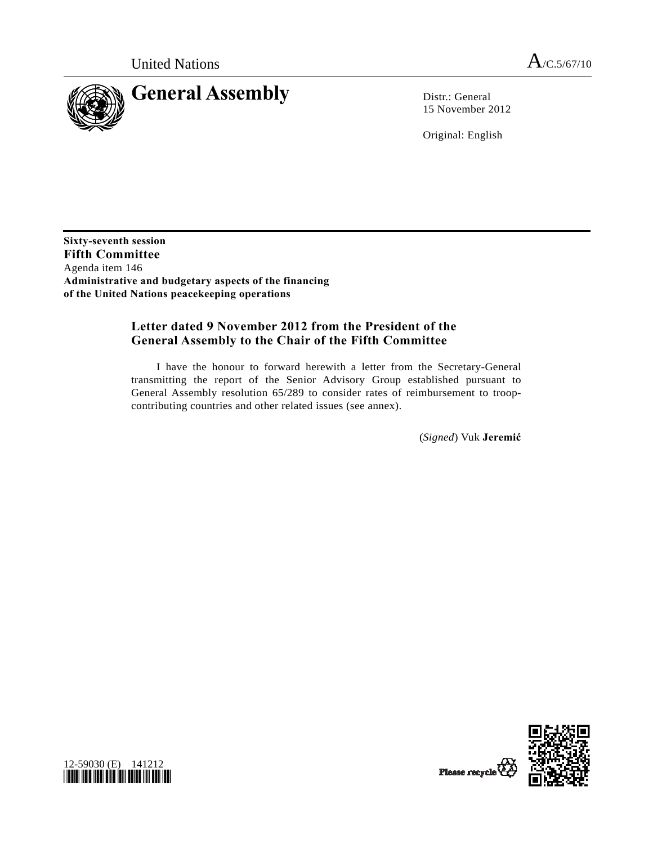

15 November 2012

Original: English

**Sixty-seventh session Fifth Committee**  Agenda item 146 **Administrative and budgetary aspects of the financing of the United Nations peacekeeping operations** 

# **Letter dated 9 November 2012 from the President of the General Assembly to the Chair of the Fifth Committee**

 I have the honour to forward herewith a letter from the Secretary-General transmitting the report of the Senior Advisory Group established pursuant to General Assembly resolution 65/289 to consider rates of reimbursement to troopcontributing countries and other related issues (see annex).

(*Signed*) Vuk **Jeremić**



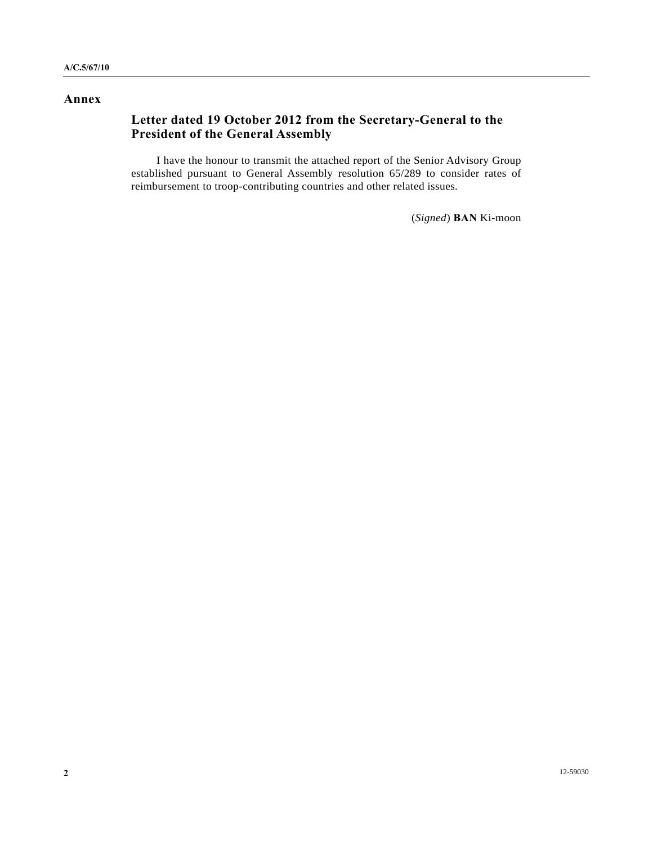# **Annex**

# **Letter dated 19 October 2012 from the Secretary-General to the President of the General Assembly**

 I have the honour to transmit the attached report of the Senior Advisory Group established pursuant to General Assembly resolution 65/289 to consider rates of reimbursement to troop-contributing countries and other related issues.

(*Signed*) **BAN** Ki-moon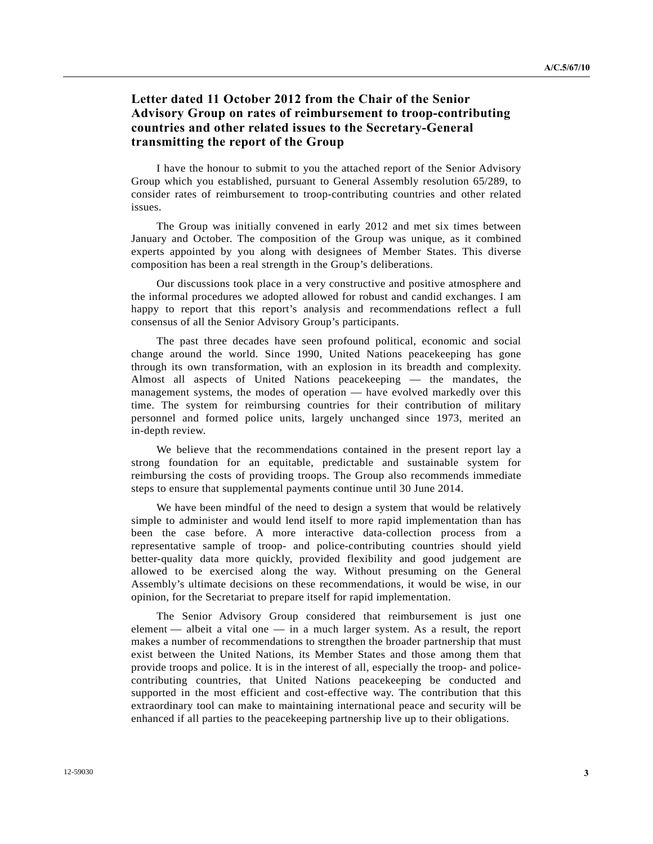# **Letter dated 11 October 2012 from the Chair of the Senior Advisory Group on rates of reimbursement to troop-contributing countries and other related issues to the Secretary-General transmitting the report of the Group**

 I have the honour to submit to you the attached report of the Senior Advisory Group which you established, pursuant to General Assembly resolution 65/289, to consider rates of reimbursement to troop-contributing countries and other related issues.

 The Group was initially convened in early 2012 and met six times between January and October. The composition of the Group was unique, as it combined experts appointed by you along with designees of Member States. This diverse composition has been a real strength in the Group's deliberations.

 Our discussions took place in a very constructive and positive atmosphere and the informal procedures we adopted allowed for robust and candid exchanges. I am happy to report that this report's analysis and recommendations reflect a full consensus of all the Senior Advisory Group's participants.

 The past three decades have seen profound political, economic and social change around the world. Since 1990, United Nations peacekeeping has gone through its own transformation, with an explosion in its breadth and complexity. Almost all aspects of United Nations peacekeeping — the mandates, the management systems, the modes of operation — have evolved markedly over this time. The system for reimbursing countries for their contribution of military personnel and formed police units, largely unchanged since 1973, merited an in-depth review.

 We believe that the recommendations contained in the present report lay a strong foundation for an equitable, predictable and sustainable system for reimbursing the costs of providing troops. The Group also recommends immediate steps to ensure that supplemental payments continue until 30 June 2014.

 We have been mindful of the need to design a system that would be relatively simple to administer and would lend itself to more rapid implementation than has been the case before. A more interactive data-collection process from a representative sample of troop- and police-contributing countries should yield better-quality data more quickly, provided flexibility and good judgement are allowed to be exercised along the way. Without presuming on the General Assembly's ultimate decisions on these recommendations, it would be wise, in our opinion, for the Secretariat to prepare itself for rapid implementation.

 The Senior Advisory Group considered that reimbursement is just one element — albeit a vital one — in a much larger system. As a result, the report makes a number of recommendations to strengthen the broader partnership that must exist between the United Nations, its Member States and those among them that provide troops and police. It is in the interest of all, especially the troop- and policecontributing countries, that United Nations peacekeeping be conducted and supported in the most efficient and cost-effective way. The contribution that this extraordinary tool can make to maintaining international peace and security will be enhanced if all parties to the peacekeeping partnership live up to their obligations.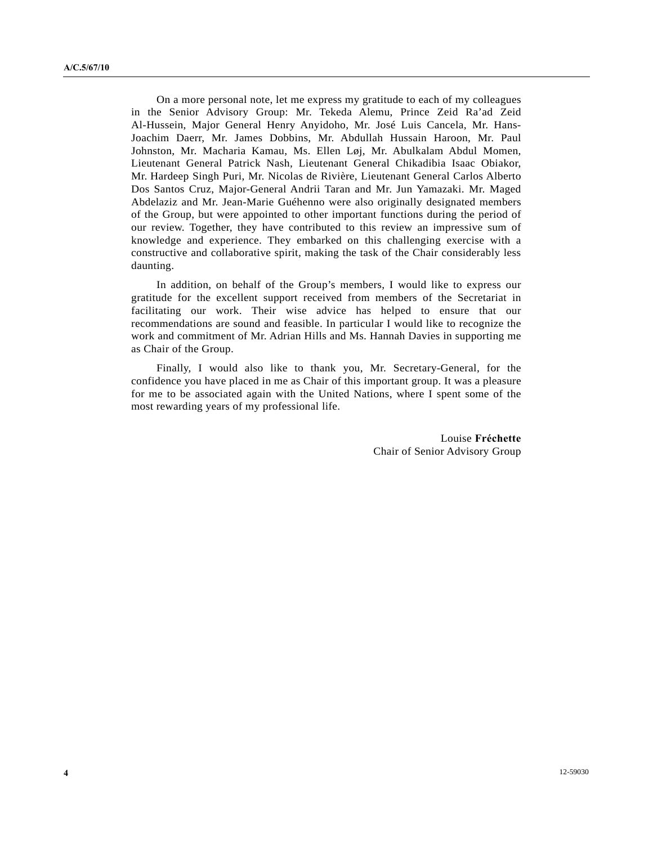On a more personal note, let me express my gratitude to each of my colleagues in the Senior Advisory Group: Mr. Tekeda Alemu, Prince Zeid Ra'ad Zeid Al-Hussein, Major General Henry Anyidoho, Mr. José Luis Cancela, Mr. Hans-Joachim Daerr, Mr. James Dobbins, Mr. Abdullah Hussain Haroon, Mr. Paul Johnston, Mr. Macharia Kamau, Ms. Ellen Løj, Mr. Abulkalam Abdul Momen, Lieutenant General Patrick Nash, Lieutenant General Chikadibia Isaac Obiakor, Mr. Hardeep Singh Puri, Mr. Nicolas de Rivière, Lieutenant General Carlos Alberto Dos Santos Cruz, Major-General Andrii Taran and Mr. Jun Yamazaki. Mr. Maged Abdelaziz and Mr. Jean-Marie Guéhenno were also originally designated members of the Group, but were appointed to other important functions during the period of our review. Together, they have contributed to this review an impressive sum of knowledge and experience. They embarked on this challenging exercise with a constructive and collaborative spirit, making the task of the Chair considerably less daunting.

 In addition, on behalf of the Group's members, I would like to express our gratitude for the excellent support received from members of the Secretariat in facilitating our work. Their wise advice has helped to ensure that our recommendations are sound and feasible. In particular I would like to recognize the work and commitment of Mr. Adrian Hills and Ms. Hannah Davies in supporting me as Chair of the Group.

 Finally, I would also like to thank you, Mr. Secretary-General, for the confidence you have placed in me as Chair of this important group. It was a pleasure for me to be associated again with the United Nations, where I spent some of the most rewarding years of my professional life.

> Louise **Fréchette**  Chair of Senior Advisory Group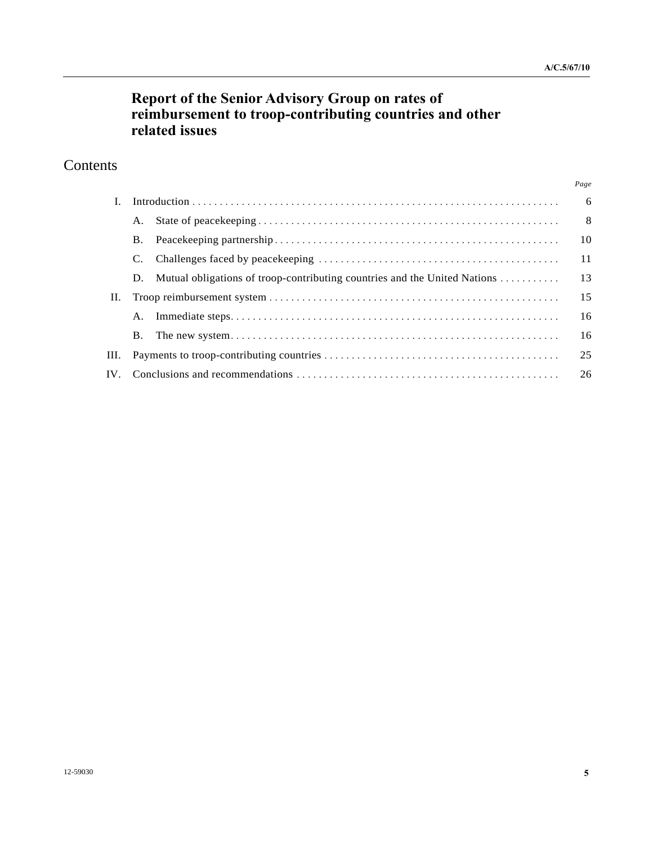# **Report of the Senior Advisory Group on rates of reimbursement to troop-contributing countries and other related issues**

# **Contents**

|    |    |                                                                           | Page |  |  |
|----|----|---------------------------------------------------------------------------|------|--|--|
|    |    |                                                                           |      |  |  |
|    | A. |                                                                           | - 8  |  |  |
|    | Β. |                                                                           | 10   |  |  |
|    |    |                                                                           | 11   |  |  |
|    | D. | Mutual obligations of troop-contributing countries and the United Nations | 13   |  |  |
| П. |    | 15                                                                        |      |  |  |
|    | A. |                                                                           | 16   |  |  |
|    | Β. |                                                                           | 16   |  |  |
| Ш. | 25 |                                                                           |      |  |  |
|    | 26 |                                                                           |      |  |  |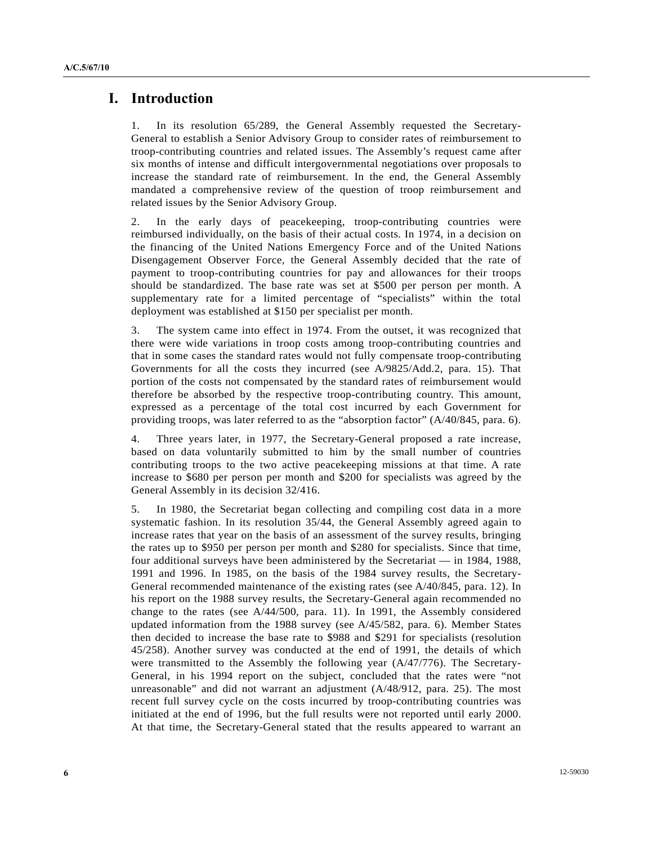# **I. Introduction**

1. In its resolution 65/289, the General Assembly requested the Secretary-General to establish a Senior Advisory Group to consider rates of reimbursement to troop-contributing countries and related issues. The Assembly's request came after six months of intense and difficult intergovernmental negotiations over proposals to increase the standard rate of reimbursement. In the end, the General Assembly mandated a comprehensive review of the question of troop reimbursement and related issues by the Senior Advisory Group.

2. In the early days of peacekeeping, troop-contributing countries were reimbursed individually, on the basis of their actual costs. In 1974, in a decision on the financing of the United Nations Emergency Force and of the United Nations Disengagement Observer Force, the General Assembly decided that the rate of payment to troop-contributing countries for pay and allowances for their troops should be standardized. The base rate was set at \$500 per person per month. A supplementary rate for a limited percentage of "specialists" within the total deployment was established at \$150 per specialist per month.

3. The system came into effect in 1974. From the outset, it was recognized that there were wide variations in troop costs among troop-contributing countries and that in some cases the standard rates would not fully compensate troop-contributing Governments for all the costs they incurred (see A/9825/Add.2, para. 15). That portion of the costs not compensated by the standard rates of reimbursement would therefore be absorbed by the respective troop-contributing country. This amount, expressed as a percentage of the total cost incurred by each Government for providing troops, was later referred to as the "absorption factor" (A/40/845, para. 6).

4. Three years later, in 1977, the Secretary-General proposed a rate increase, based on data voluntarily submitted to him by the small number of countries contributing troops to the two active peacekeeping missions at that time. A rate increase to \$680 per person per month and \$200 for specialists was agreed by the General Assembly in its decision 32/416.

5. In 1980, the Secretariat began collecting and compiling cost data in a more systematic fashion. In its resolution 35/44, the General Assembly agreed again to increase rates that year on the basis of an assessment of the survey results, bringing the rates up to \$950 per person per month and \$280 for specialists. Since that time, four additional surveys have been administered by the Secretariat — in 1984, 1988, 1991 and 1996. In 1985, on the basis of the 1984 survey results, the Secretary-General recommended maintenance of the existing rates (see A/40/845, para. 12). In his report on the 1988 survey results, the Secretary-General again recommended no change to the rates (see A/44/500, para. 11). In 1991, the Assembly considered updated information from the 1988 survey (see A/45/582, para. 6). Member States then decided to increase the base rate to \$988 and \$291 for specialists (resolution 45/258). Another survey was conducted at the end of 1991, the details of which were transmitted to the Assembly the following year (A/47/776). The Secretary-General, in his 1994 report on the subject, concluded that the rates were "not unreasonable" and did not warrant an adjustment (A/48/912, para. 25). The most recent full survey cycle on the costs incurred by troop-contributing countries was initiated at the end of 1996, but the full results were not reported until early 2000. At that time, the Secretary-General stated that the results appeared to warrant an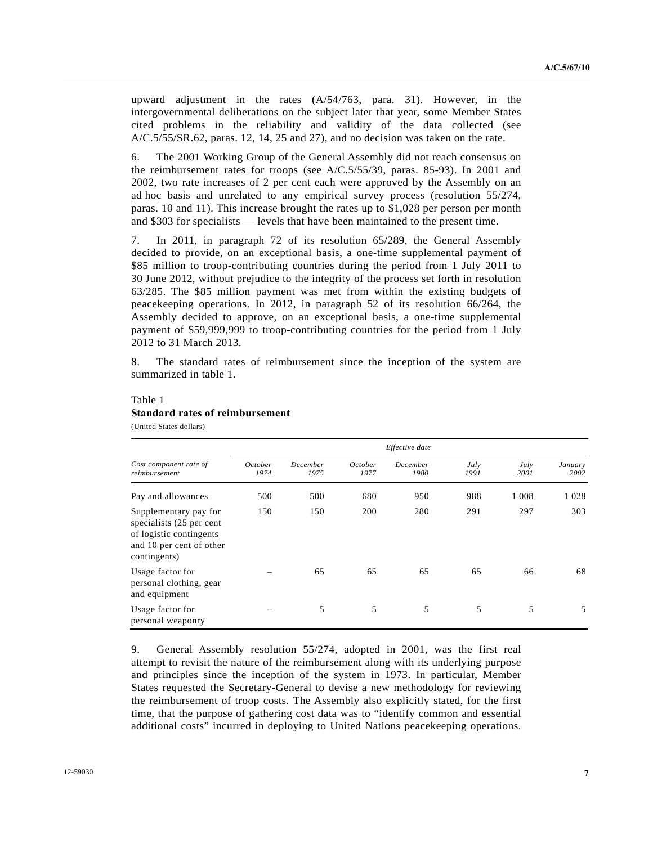upward adjustment in the rates (A/54/763, para. 31). However, in the intergovernmental deliberations on the subject later that year, some Member States cited problems in the reliability and validity of the data collected (see A/C.5/55/SR.62, paras. 12, 14, 25 and 27), and no decision was taken on the rate.

6. The 2001 Working Group of the General Assembly did not reach consensus on the reimbursement rates for troops (see A/C.5/55/39, paras. 85-93). In 2001 and 2002, two rate increases of 2 per cent each were approved by the Assembly on an ad hoc basis and unrelated to any empirical survey process (resolution 55/274, paras. 10 and 11). This increase brought the rates up to \$1,028 per person per month and \$303 for specialists — levels that have been maintained to the present time.

7. In 2011, in paragraph 72 of its resolution 65/289, the General Assembly decided to provide, on an exceptional basis, a one-time supplemental payment of \$85 million to troop-contributing countries during the period from 1 July 2011 to 30 June 2012, without prejudice to the integrity of the process set forth in resolution 63/285. The \$85 million payment was met from within the existing budgets of peacekeeping operations. In 2012, in paragraph 52 of its resolution 66/264, the Assembly decided to approve, on an exceptional basis, a one-time supplemental payment of \$59,999,999 to troop-contributing countries for the period from 1 July 2012 to 31 March 2013.

8. The standard rates of reimbursement since the inception of the system are summarized in table 1.

### Table 1 **Standard rates of reimbursement**  (United States dollars)

|                                                                                                                          | Effective date         |                  |                        |                  |              |              |                 |  |
|--------------------------------------------------------------------------------------------------------------------------|------------------------|------------------|------------------------|------------------|--------------|--------------|-----------------|--|
| Cost component rate of<br>reimbursement                                                                                  | <i>October</i><br>1974 | December<br>1975 | <i>October</i><br>1977 | December<br>1980 | July<br>1991 | July<br>2001 | January<br>2002 |  |
| Pay and allowances                                                                                                       | 500                    | 500              | 680                    | 950              | 988          | 1 0 0 8      | 1 0 2 8         |  |
| Supplementary pay for<br>specialists (25 per cent<br>of logistic contingents<br>and 10 per cent of other<br>contingents) | 150                    | 150              | 200                    | 280              | 291          | 297          | 303             |  |
| Usage factor for<br>personal clothing, gear<br>and equipment                                                             |                        | 65               | 65                     | 65               | 65           | 66           | 68              |  |
| Usage factor for<br>personal weaponry                                                                                    |                        | 5                | 5                      | 5                | 5            | 5            | 5               |  |

9. General Assembly resolution 55/274, adopted in 2001, was the first real attempt to revisit the nature of the reimbursement along with its underlying purpose and principles since the inception of the system in 1973. In particular, Member States requested the Secretary-General to devise a new methodology for reviewing the reimbursement of troop costs. The Assembly also explicitly stated, for the first time, that the purpose of gathering cost data was to "identify common and essential additional costs" incurred in deploying to United Nations peacekeeping operations.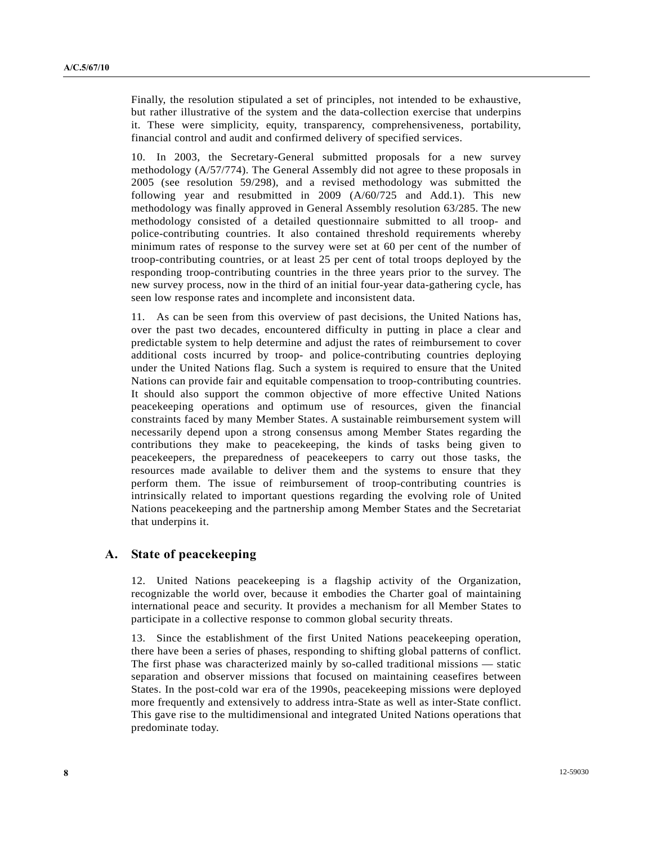Finally, the resolution stipulated a set of principles, not intended to be exhaustive, but rather illustrative of the system and the data-collection exercise that underpins it. These were simplicity, equity, transparency, comprehensiveness, portability, financial control and audit and confirmed delivery of specified services.

10. In 2003, the Secretary-General submitted proposals for a new survey methodology (A/57/774). The General Assembly did not agree to these proposals in 2005 (see resolution 59/298), and a revised methodology was submitted the following year and resubmitted in 2009 (A/60/725 and Add.1). This new methodology was finally approved in General Assembly resolution 63/285. The new methodology consisted of a detailed questionnaire submitted to all troop- and police-contributing countries. It also contained threshold requirements whereby minimum rates of response to the survey were set at 60 per cent of the number of troop-contributing countries, or at least 25 per cent of total troops deployed by the responding troop-contributing countries in the three years prior to the survey. The new survey process, now in the third of an initial four-year data-gathering cycle, has seen low response rates and incomplete and inconsistent data.

11. As can be seen from this overview of past decisions, the United Nations has, over the past two decades, encountered difficulty in putting in place a clear and predictable system to help determine and adjust the rates of reimbursement to cover additional costs incurred by troop- and police-contributing countries deploying under the United Nations flag. Such a system is required to ensure that the United Nations can provide fair and equitable compensation to troop-contributing countries. It should also support the common objective of more effective United Nations peacekeeping operations and optimum use of resources, given the financial constraints faced by many Member States. A sustainable reimbursement system will necessarily depend upon a strong consensus among Member States regarding the contributions they make to peacekeeping, the kinds of tasks being given to peacekeepers, the preparedness of peacekeepers to carry out those tasks, the resources made available to deliver them and the systems to ensure that they perform them. The issue of reimbursement of troop-contributing countries is intrinsically related to important questions regarding the evolving role of United Nations peacekeeping and the partnership among Member States and the Secretariat that underpins it.

# **A. State of peacekeeping**

12. United Nations peacekeeping is a flagship activity of the Organization, recognizable the world over, because it embodies the Charter goal of maintaining international peace and security. It provides a mechanism for all Member States to participate in a collective response to common global security threats.

13. Since the establishment of the first United Nations peacekeeping operation, there have been a series of phases, responding to shifting global patterns of conflict. The first phase was characterized mainly by so-called traditional missions — static separation and observer missions that focused on maintaining ceasefires between States. In the post-cold war era of the 1990s, peacekeeping missions were deployed more frequently and extensively to address intra-State as well as inter-State conflict. This gave rise to the multidimensional and integrated United Nations operations that predominate today.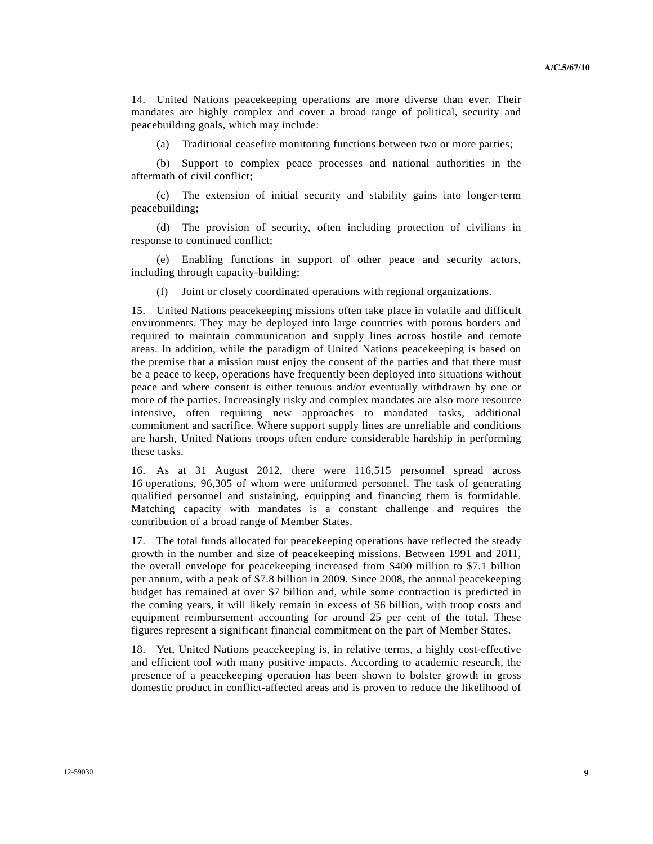14. United Nations peacekeeping operations are more diverse than ever. Their mandates are highly complex and cover a broad range of political, security and peacebuilding goals, which may include:

Traditional ceasefire monitoring functions between two or more parties;

 (b) Support to complex peace processes and national authorities in the aftermath of civil conflict;

 (c) The extension of initial security and stability gains into longer-term peacebuilding;

 (d) The provision of security, often including protection of civilians in response to continued conflict;

 (e) Enabling functions in support of other peace and security actors, including through capacity-building;

(f) Joint or closely coordinated operations with regional organizations.

15. United Nations peacekeeping missions often take place in volatile and difficult environments. They may be deployed into large countries with porous borders and required to maintain communication and supply lines across hostile and remote areas. In addition, while the paradigm of United Nations peacekeeping is based on the premise that a mission must enjoy the consent of the parties and that there must be a peace to keep, operations have frequently been deployed into situations without peace and where consent is either tenuous and/or eventually withdrawn by one or more of the parties. Increasingly risky and complex mandates are also more resource intensive, often requiring new approaches to mandated tasks, additional commitment and sacrifice. Where support supply lines are unreliable and conditions are harsh, United Nations troops often endure considerable hardship in performing these tasks.

16. As at 31 August 2012, there were 116,515 personnel spread across 16 operations, 96,305 of whom were uniformed personnel. The task of generating qualified personnel and sustaining, equipping and financing them is formidable. Matching capacity with mandates is a constant challenge and requires the contribution of a broad range of Member States.

17. The total funds allocated for peacekeeping operations have reflected the steady growth in the number and size of peacekeeping missions. Between 1991 and 2011, the overall envelope for peacekeeping increased from \$400 million to \$7.1 billion per annum, with a peak of \$7.8 billion in 2009. Since 2008, the annual peacekeeping budget has remained at over \$7 billion and, while some contraction is predicted in the coming years, it will likely remain in excess of \$6 billion, with troop costs and equipment reimbursement accounting for around 25 per cent of the total. These figures represent a significant financial commitment on the part of Member States.

18. Yet, United Nations peacekeeping is, in relative terms, a highly cost-effective and efficient tool with many positive impacts. According to academic research, the presence of a peacekeeping operation has been shown to bolster growth in gross domestic product in conflict-affected areas and is proven to reduce the likelihood of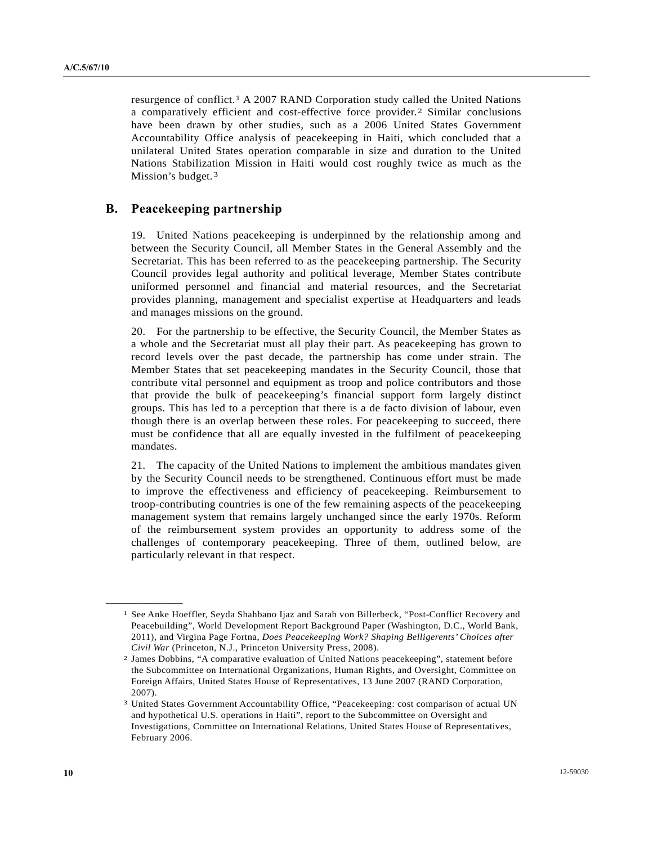resurgence of conflict.[1](#page-9-0) A 2007 RAND Corporation study called the United Nations a comparatively efficient and cost-effective force provider.[2](#page-9-1) Similar conclusions have been drawn by other studies, such as a 2006 United States Government Accountability Office analysis of peacekeeping in Haiti, which concluded that a unilateral United States operation comparable in size and duration to the United Nations Stabilization Mission in Haiti would cost roughly twice as much as the Mission's budget.<sup>[3](#page-9-2)</sup>

# **B. Peacekeeping partnership**

19. United Nations peacekeeping is underpinned by the relationship among and between the Security Council, all Member States in the General Assembly and the Secretariat. This has been referred to as the peacekeeping partnership. The Security Council provides legal authority and political leverage, Member States contribute uniformed personnel and financial and material resources, and the Secretariat provides planning, management and specialist expertise at Headquarters and leads and manages missions on the ground.

20. For the partnership to be effective, the Security Council, the Member States as a whole and the Secretariat must all play their part. As peacekeeping has grown to record levels over the past decade, the partnership has come under strain. The Member States that set peacekeeping mandates in the Security Council, those that contribute vital personnel and equipment as troop and police contributors and those that provide the bulk of peacekeeping's financial support form largely distinct groups. This has led to a perception that there is a de facto division of labour, even though there is an overlap between these roles. For peacekeeping to succeed, there must be confidence that all are equally invested in the fulfilment of peacekeeping mandates.

21. The capacity of the United Nations to implement the ambitious mandates given by the Security Council needs to be strengthened. Continuous effort must be made to improve the effectiveness and efficiency of peacekeeping. Reimbursement to troop-contributing countries is one of the few remaining aspects of the peacekeeping management system that remains largely unchanged since the early 1970s. Reform of the reimbursement system provides an opportunity to address some of the challenges of contemporary peacekeeping. Three of them, outlined below, are particularly relevant in that respect.

<span id="page-9-1"></span><span id="page-9-0"></span>**\_\_\_\_\_\_\_\_\_\_\_\_\_\_\_\_\_\_** 

<sup>1</sup> See Anke Hoeffler, Seyda Shahbano Ijaz and Sarah von Billerbeck, "Post-Conflict Recovery and Peacebuilding", World Development Report Background Paper (Washington, D.C., World Bank, 2011), and Virgina Page Fortna, *Does Peacekeeping Work? Shaping Belligerents' Choices after Civil War* (Princeton, N.J., Princeton University Press, 2008). 2 James Dobbins, "A comparative evaluation of United Nations peacekeeping", statement before

the Subcommittee on International Organizations, Human Rights, and Oversight, Committee on Foreign Affairs, United States House of Representatives, 13 June 2007 (RAND Corporation, 2007).

<span id="page-9-2"></span><sup>3</sup> United States Government Accountability Office, "Peacekeeping: cost comparison of actual UN and hypothetical U.S. operations in Haiti", report to the Subcommittee on Oversight and Investigations, Committee on International Relations, United States House of Representatives, February 2006.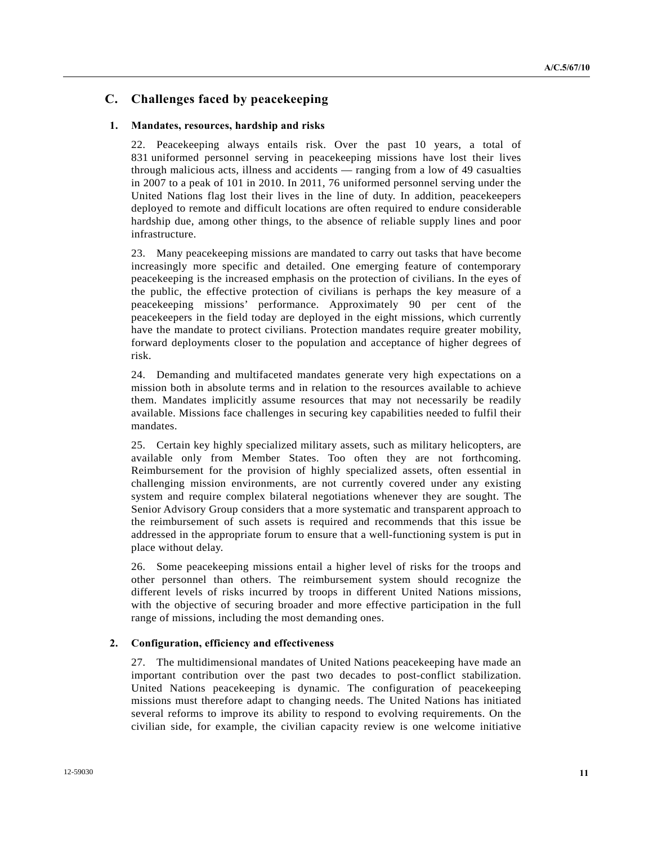# **C. Challenges faced by peacekeeping**

### **1. Mandates, resources, hardship and risks**

22. Peacekeeping always entails risk. Over the past 10 years, a total of 831 uniformed personnel serving in peacekeeping missions have lost their lives through malicious acts, illness and accidents — ranging from a low of 49 casualties in 2007 to a peak of 101 in 2010. In 2011, 76 uniformed personnel serving under the United Nations flag lost their lives in the line of duty. In addition, peacekeepers deployed to remote and difficult locations are often required to endure considerable hardship due, among other things, to the absence of reliable supply lines and poor infrastructure.

23. Many peacekeeping missions are mandated to carry out tasks that have become increasingly more specific and detailed. One emerging feature of contemporary peacekeeping is the increased emphasis on the protection of civilians. In the eyes of the public, the effective protection of civilians is perhaps the key measure of a peacekeeping missions' performance. Approximately 90 per cent of the peacekeepers in the field today are deployed in the eight missions, which currently have the mandate to protect civilians. Protection mandates require greater mobility, forward deployments closer to the population and acceptance of higher degrees of risk.

24. Demanding and multifaceted mandates generate very high expectations on a mission both in absolute terms and in relation to the resources available to achieve them. Mandates implicitly assume resources that may not necessarily be readily available. Missions face challenges in securing key capabilities needed to fulfil their mandates.

25. Certain key highly specialized military assets, such as military helicopters, are available only from Member States. Too often they are not forthcoming. Reimbursement for the provision of highly specialized assets, often essential in challenging mission environments, are not currently covered under any existing system and require complex bilateral negotiations whenever they are sought. The Senior Advisory Group considers that a more systematic and transparent approach to the reimbursement of such assets is required and recommends that this issue be addressed in the appropriate forum to ensure that a well-functioning system is put in place without delay.

26. Some peacekeeping missions entail a higher level of risks for the troops and other personnel than others. The reimbursement system should recognize the different levels of risks incurred by troops in different United Nations missions, with the objective of securing broader and more effective participation in the full range of missions, including the most demanding ones.

## **2. Configuration, efficiency and effectiveness**

27. The multidimensional mandates of United Nations peacekeeping have made an important contribution over the past two decades to post-conflict stabilization. United Nations peacekeeping is dynamic. The configuration of peacekeeping missions must therefore adapt to changing needs. The United Nations has initiated several reforms to improve its ability to respond to evolving requirements. On the civilian side, for example, the civilian capacity review is one welcome initiative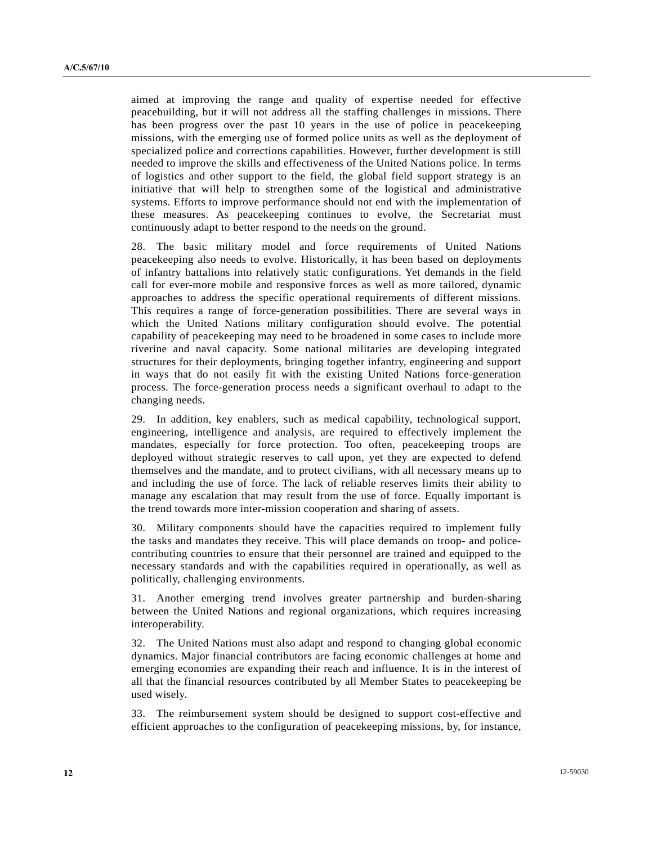aimed at improving the range and quality of expertise needed for effective peacebuilding, but it will not address all the staffing challenges in missions. There has been progress over the past 10 years in the use of police in peacekeeping missions, with the emerging use of formed police units as well as the deployment of specialized police and corrections capabilities. However, further development is still needed to improve the skills and effectiveness of the United Nations police. In terms of logistics and other support to the field, the global field support strategy is an initiative that will help to strengthen some of the logistical and administrative systems. Efforts to improve performance should not end with the implementation of these measures. As peacekeeping continues to evolve, the Secretariat must continuously adapt to better respond to the needs on the ground.

28. The basic military model and force requirements of United Nations peacekeeping also needs to evolve. Historically, it has been based on deployments of infantry battalions into relatively static configurations. Yet demands in the field call for ever-more mobile and responsive forces as well as more tailored, dynamic approaches to address the specific operational requirements of different missions. This requires a range of force-generation possibilities. There are several ways in which the United Nations military configuration should evolve. The potential capability of peacekeeping may need to be broadened in some cases to include more riverine and naval capacity. Some national militaries are developing integrated structures for their deployments, bringing together infantry, engineering and support in ways that do not easily fit with the existing United Nations force-generation process. The force-generation process needs a significant overhaul to adapt to the changing needs.

29. In addition, key enablers, such as medical capability, technological support, engineering, intelligence and analysis, are required to effectively implement the mandates, especially for force protection. Too often, peacekeeping troops are deployed without strategic reserves to call upon, yet they are expected to defend themselves and the mandate, and to protect civilians, with all necessary means up to and including the use of force. The lack of reliable reserves limits their ability to manage any escalation that may result from the use of force. Equally important is the trend towards more inter-mission cooperation and sharing of assets.

30. Military components should have the capacities required to implement fully the tasks and mandates they receive. This will place demands on troop- and policecontributing countries to ensure that their personnel are trained and equipped to the necessary standards and with the capabilities required in operationally, as well as politically, challenging environments.

31. Another emerging trend involves greater partnership and burden-sharing between the United Nations and regional organizations, which requires increasing interoperability.

32. The United Nations must also adapt and respond to changing global economic dynamics. Major financial contributors are facing economic challenges at home and emerging economies are expanding their reach and influence. It is in the interest of all that the financial resources contributed by all Member States to peacekeeping be used wisely.

33. The reimbursement system should be designed to support cost-effective and efficient approaches to the configuration of peacekeeping missions, by, for instance,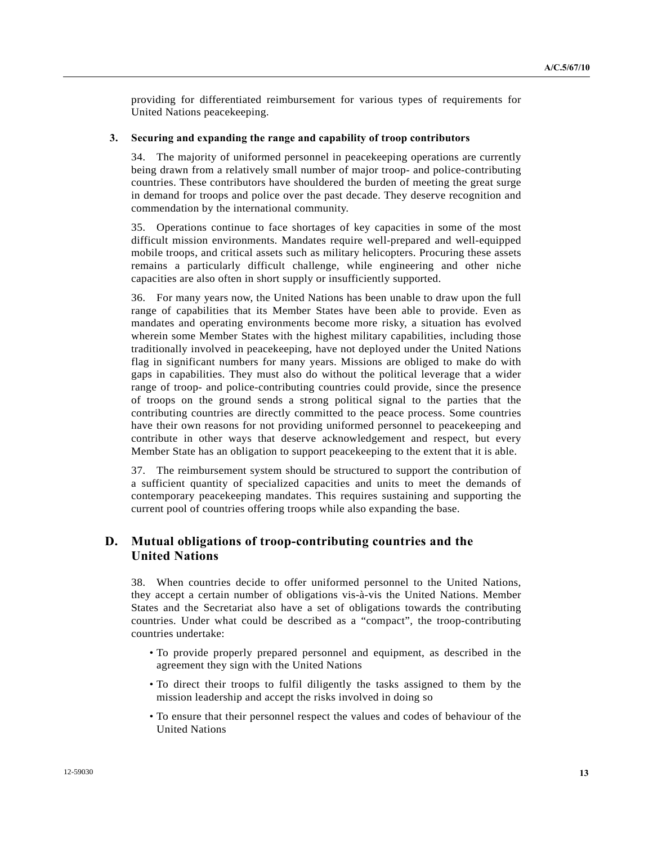providing for differentiated reimbursement for various types of requirements for United Nations peacekeeping.

#### **3. Securing and expanding the range and capability of troop contributors**

34. The majority of uniformed personnel in peacekeeping operations are currently being drawn from a relatively small number of major troop- and police-contributing countries. These contributors have shouldered the burden of meeting the great surge in demand for troops and police over the past decade. They deserve recognition and commendation by the international community.

35. Operations continue to face shortages of key capacities in some of the most difficult mission environments. Mandates require well-prepared and well-equipped mobile troops, and critical assets such as military helicopters. Procuring these assets remains a particularly difficult challenge, while engineering and other niche capacities are also often in short supply or insufficiently supported.

36. For many years now, the United Nations has been unable to draw upon the full range of capabilities that its Member States have been able to provide. Even as mandates and operating environments become more risky, a situation has evolved wherein some Member States with the highest military capabilities, including those traditionally involved in peacekeeping, have not deployed under the United Nations flag in significant numbers for many years. Missions are obliged to make do with gaps in capabilities. They must also do without the political leverage that a wider range of troop- and police-contributing countries could provide, since the presence of troops on the ground sends a strong political signal to the parties that the contributing countries are directly committed to the peace process. Some countries have their own reasons for not providing uniformed personnel to peacekeeping and contribute in other ways that deserve acknowledgement and respect, but every Member State has an obligation to support peacekeeping to the extent that it is able.

37. The reimbursement system should be structured to support the contribution of a sufficient quantity of specialized capacities and units to meet the demands of contemporary peacekeeping mandates. This requires sustaining and supporting the current pool of countries offering troops while also expanding the base.

# **D. Mutual obligations of troop-contributing countries and the United Nations**

38. When countries decide to offer uniformed personnel to the United Nations, they accept a certain number of obligations vis-à-vis the United Nations. Member States and the Secretariat also have a set of obligations towards the contributing countries. Under what could be described as a "compact", the troop-contributing countries undertake:

- To provide properly prepared personnel and equipment, as described in the agreement they sign with the United Nations
- To direct their troops to fulfil diligently the tasks assigned to them by the mission leadership and accept the risks involved in doing so
- To ensure that their personnel respect the values and codes of behaviour of the United Nations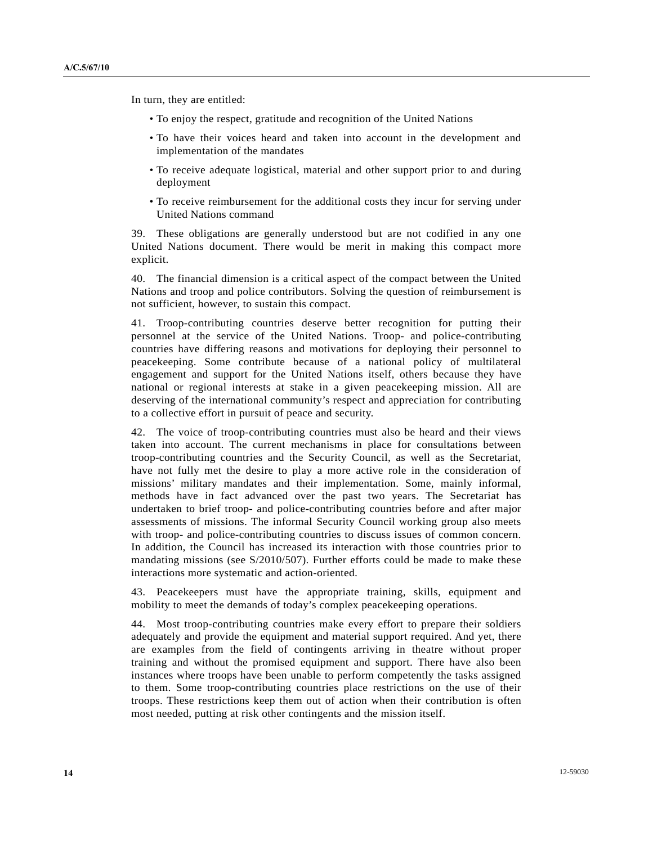In turn, they are entitled:

- To enjoy the respect, gratitude and recognition of the United Nations
- To have their voices heard and taken into account in the development and implementation of the mandates
- To receive adequate logistical, material and other support prior to and during deployment
- To receive reimbursement for the additional costs they incur for serving under United Nations command

39. These obligations are generally understood but are not codified in any one United Nations document. There would be merit in making this compact more explicit.

40. The financial dimension is a critical aspect of the compact between the United Nations and troop and police contributors. Solving the question of reimbursement is not sufficient, however, to sustain this compact.

41. Troop-contributing countries deserve better recognition for putting their personnel at the service of the United Nations. Troop- and police-contributing countries have differing reasons and motivations for deploying their personnel to peacekeeping. Some contribute because of a national policy of multilateral engagement and support for the United Nations itself, others because they have national or regional interests at stake in a given peacekeeping mission. All are deserving of the international community's respect and appreciation for contributing to a collective effort in pursuit of peace and security.

42. The voice of troop-contributing countries must also be heard and their views taken into account. The current mechanisms in place for consultations between troop-contributing countries and the Security Council, as well as the Secretariat, have not fully met the desire to play a more active role in the consideration of missions' military mandates and their implementation. Some, mainly informal, methods have in fact advanced over the past two years. The Secretariat has undertaken to brief troop- and police-contributing countries before and after major assessments of missions. The informal Security Council working group also meets with troop- and police-contributing countries to discuss issues of common concern. In addition, the Council has increased its interaction with those countries prior to mandating missions (see S/2010/507). Further efforts could be made to make these interactions more systematic and action-oriented.

43. Peacekeepers must have the appropriate training, skills, equipment and mobility to meet the demands of today's complex peacekeeping operations.

44. Most troop-contributing countries make every effort to prepare their soldiers adequately and provide the equipment and material support required. And yet, there are examples from the field of contingents arriving in theatre without proper training and without the promised equipment and support. There have also been instances where troops have been unable to perform competently the tasks assigned to them. Some troop-contributing countries place restrictions on the use of their troops. These restrictions keep them out of action when their contribution is often most needed, putting at risk other contingents and the mission itself.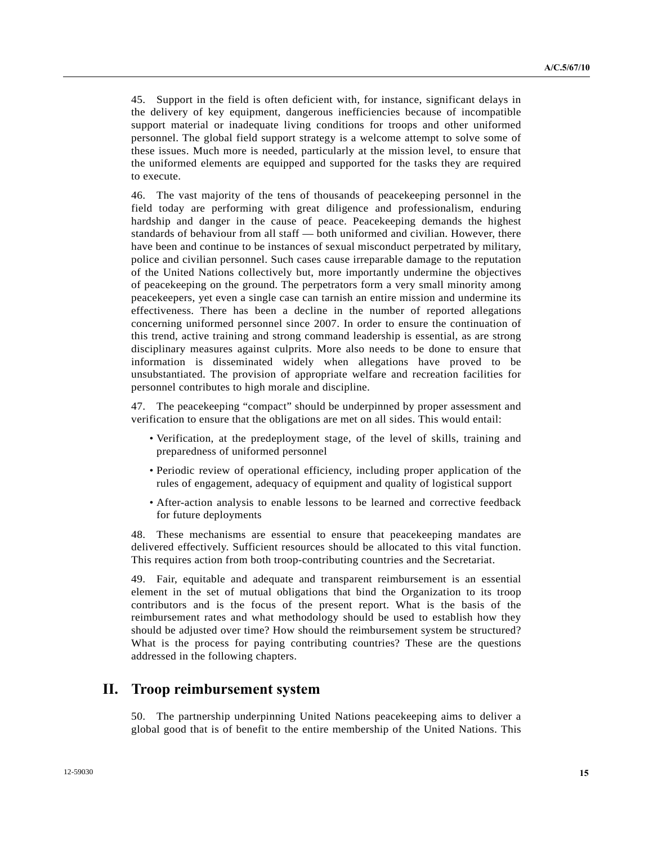45. Support in the field is often deficient with, for instance, significant delays in the delivery of key equipment, dangerous inefficiencies because of incompatible support material or inadequate living conditions for troops and other uniformed personnel. The global field support strategy is a welcome attempt to solve some of these issues. Much more is needed, particularly at the mission level, to ensure that the uniformed elements are equipped and supported for the tasks they are required to execute.

46. The vast majority of the tens of thousands of peacekeeping personnel in the field today are performing with great diligence and professionalism, enduring hardship and danger in the cause of peace. Peacekeeping demands the highest standards of behaviour from all staff — both uniformed and civilian. However, there have been and continue to be instances of sexual misconduct perpetrated by military, police and civilian personnel. Such cases cause irreparable damage to the reputation of the United Nations collectively but, more importantly undermine the objectives of peacekeeping on the ground. The perpetrators form a very small minority among peacekeepers, yet even a single case can tarnish an entire mission and undermine its effectiveness. There has been a decline in the number of reported allegations concerning uniformed personnel since 2007. In order to ensure the continuation of this trend, active training and strong command leadership is essential, as are strong disciplinary measures against culprits. More also needs to be done to ensure that information is disseminated widely when allegations have proved to be unsubstantiated. The provision of appropriate welfare and recreation facilities for personnel contributes to high morale and discipline.

47. The peacekeeping "compact" should be underpinned by proper assessment and verification to ensure that the obligations are met on all sides. This would entail:

- Verification, at the predeployment stage, of the level of skills, training and preparedness of uniformed personnel
- Periodic review of operational efficiency, including proper application of the rules of engagement, adequacy of equipment and quality of logistical support
- After-action analysis to enable lessons to be learned and corrective feedback for future deployments

48. These mechanisms are essential to ensure that peacekeeping mandates are delivered effectively. Sufficient resources should be allocated to this vital function. This requires action from both troop-contributing countries and the Secretariat.

49. Fair, equitable and adequate and transparent reimbursement is an essential element in the set of mutual obligations that bind the Organization to its troop contributors and is the focus of the present report. What is the basis of the reimbursement rates and what methodology should be used to establish how they should be adjusted over time? How should the reimbursement system be structured? What is the process for paying contributing countries? These are the questions addressed in the following chapters.

# **II. Troop reimbursement system**

50. The partnership underpinning United Nations peacekeeping aims to deliver a global good that is of benefit to the entire membership of the United Nations. This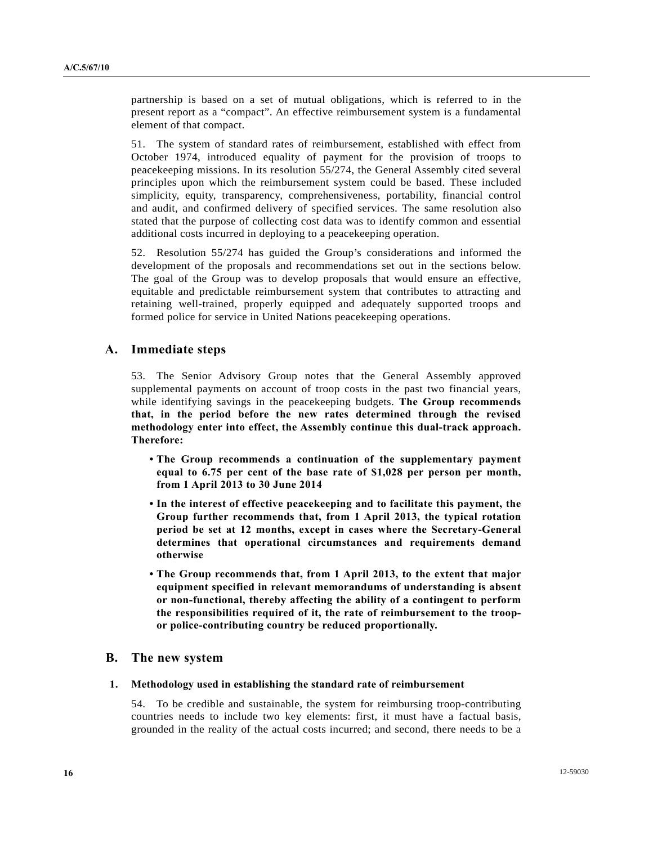partnership is based on a set of mutual obligations, which is referred to in the present report as a "compact". An effective reimbursement system is a fundamental element of that compact.

51. The system of standard rates of reimbursement, established with effect from October 1974, introduced equality of payment for the provision of troops to peacekeeping missions. In its resolution 55/274, the General Assembly cited several principles upon which the reimbursement system could be based. These included simplicity, equity, transparency, comprehensiveness, portability, financial control and audit, and confirmed delivery of specified services. The same resolution also stated that the purpose of collecting cost data was to identify common and essential additional costs incurred in deploying to a peacekeeping operation.

52. Resolution 55/274 has guided the Group's considerations and informed the development of the proposals and recommendations set out in the sections below. The goal of the Group was to develop proposals that would ensure an effective, equitable and predictable reimbursement system that contributes to attracting and retaining well-trained, properly equipped and adequately supported troops and formed police for service in United Nations peacekeeping operations.

## **A. Immediate steps**

53. The Senior Advisory Group notes that the General Assembly approved supplemental payments on account of troop costs in the past two financial years, while identifying savings in the peacekeeping budgets. **The Group recommends that, in the period before the new rates determined through the revised methodology enter into effect, the Assembly continue this dual-track approach. Therefore:** 

- **The Group recommends a continuation of the supplementary payment equal to 6.75 per cent of the base rate of \$1,028 per person per month, from 1 April 2013 to 30 June 2014**
- **In the interest of effective peacekeeping and to facilitate this payment, the Group further recommends that, from 1 April 2013, the typical rotation period be set at 12 months, except in cases where the Secretary-General determines that operational circumstances and requirements demand otherwise**
- **The Group recommends that, from 1 April 2013, to the extent that major equipment specified in relevant memorandums of understanding is absent or non-functional, thereby affecting the ability of a contingent to perform the responsibilities required of it, the rate of reimbursement to the troopor police-contributing country be reduced proportionally.**

### **B. The new system**

#### **1. Methodology used in establishing the standard rate of reimbursement**

54. To be credible and sustainable, the system for reimbursing troop-contributing countries needs to include two key elements: first, it must have a factual basis, grounded in the reality of the actual costs incurred; and second, there needs to be a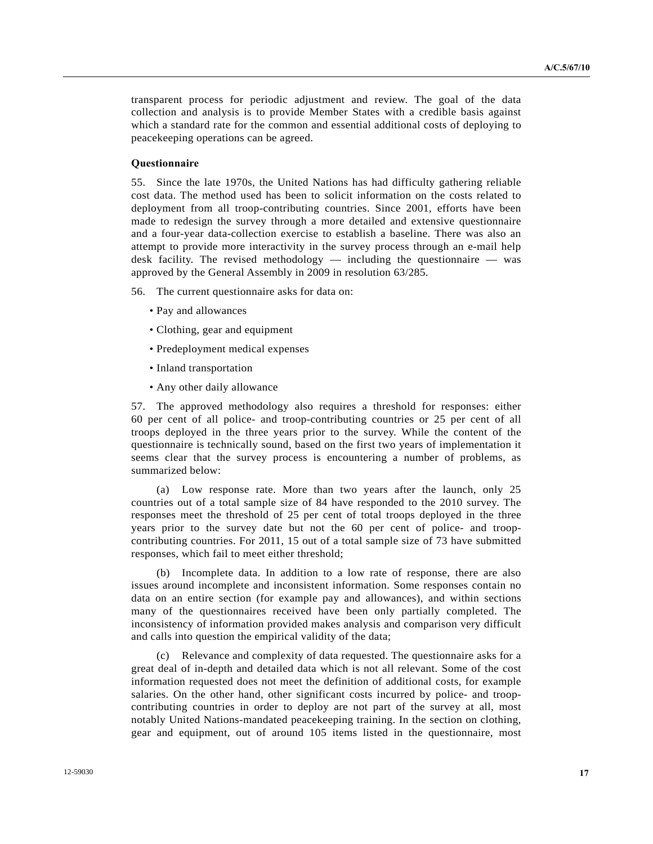transparent process for periodic adjustment and review. The goal of the data collection and analysis is to provide Member States with a credible basis against which a standard rate for the common and essential additional costs of deploying to peacekeeping operations can be agreed.

## **Questionnaire**

55. Since the late 1970s, the United Nations has had difficulty gathering reliable cost data. The method used has been to solicit information on the costs related to deployment from all troop-contributing countries. Since 2001, efforts have been made to redesign the survey through a more detailed and extensive questionnaire and a four-year data-collection exercise to establish a baseline. There was also an attempt to provide more interactivity in the survey process through an e-mail help desk facility. The revised methodology — including the questionnaire — was approved by the General Assembly in 2009 in resolution 63/285.

56. The current questionnaire asks for data on:

- Pay and allowances
- Clothing, gear and equipment
- Predeployment medical expenses
- Inland transportation
- Any other daily allowance

57. The approved methodology also requires a threshold for responses: either 60 per cent of all police- and troop-contributing countries or 25 per cent of all troops deployed in the three years prior to the survey. While the content of the questionnaire is technically sound, based on the first two years of implementation it seems clear that the survey process is encountering a number of problems, as summarized below:

 (a) Low response rate. More than two years after the launch, only 25 countries out of a total sample size of 84 have responded to the 2010 survey. The responses meet the threshold of 25 per cent of total troops deployed in the three years prior to the survey date but not the 60 per cent of police- and troopcontributing countries. For 2011, 15 out of a total sample size of 73 have submitted responses, which fail to meet either threshold;

 (b) Incomplete data. In addition to a low rate of response, there are also issues around incomplete and inconsistent information. Some responses contain no data on an entire section (for example pay and allowances), and within sections many of the questionnaires received have been only partially completed. The inconsistency of information provided makes analysis and comparison very difficult and calls into question the empirical validity of the data;

 (c) Relevance and complexity of data requested. The questionnaire asks for a great deal of in-depth and detailed data which is not all relevant. Some of the cost information requested does not meet the definition of additional costs, for example salaries. On the other hand, other significant costs incurred by police- and troopcontributing countries in order to deploy are not part of the survey at all, most notably United Nations-mandated peacekeeping training. In the section on clothing, gear and equipment, out of around 105 items listed in the questionnaire, most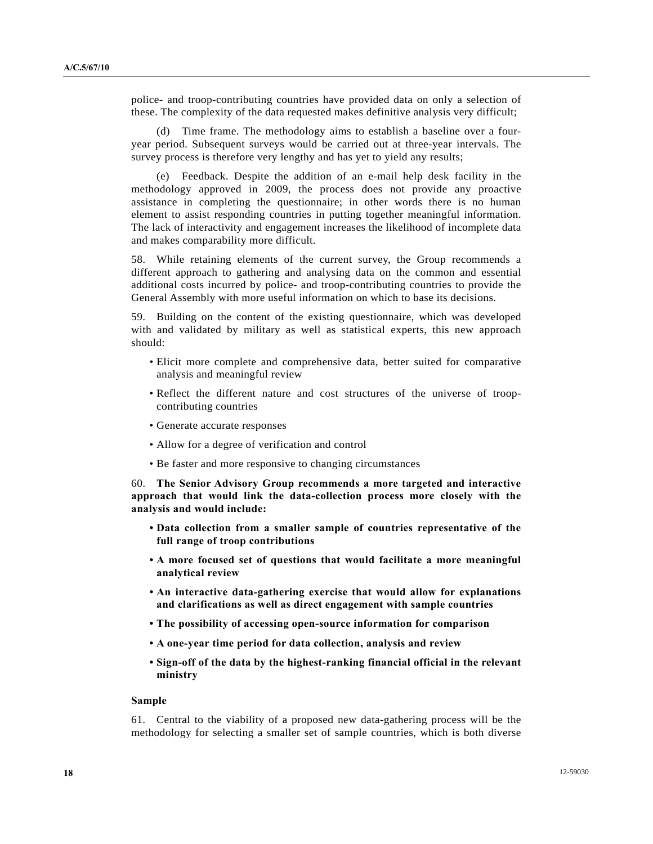police- and troop-contributing countries have provided data on only a selection of these. The complexity of the data requested makes definitive analysis very difficult;

 (d) Time frame. The methodology aims to establish a baseline over a fouryear period. Subsequent surveys would be carried out at three-year intervals. The survey process is therefore very lengthy and has yet to yield any results;

 (e) Feedback. Despite the addition of an e-mail help desk facility in the methodology approved in 2009, the process does not provide any proactive assistance in completing the questionnaire; in other words there is no human element to assist responding countries in putting together meaningful information. The lack of interactivity and engagement increases the likelihood of incomplete data and makes comparability more difficult.

58. While retaining elements of the current survey, the Group recommends a different approach to gathering and analysing data on the common and essential additional costs incurred by police- and troop-contributing countries to provide the General Assembly with more useful information on which to base its decisions.

59. Building on the content of the existing questionnaire, which was developed with and validated by military as well as statistical experts, this new approach should:

- Elicit more complete and comprehensive data, better suited for comparative analysis and meaningful review
- Reflect the different nature and cost structures of the universe of troopcontributing countries
- Generate accurate responses
- Allow for a degree of verification and control
- Be faster and more responsive to changing circumstances

60. **The Senior Advisory Group recommends a more targeted and interactive approach that would link the data-collection process more closely with the analysis and would include:**

- **Data collection from a smaller sample of countries representative of the full range of troop contributions**
- **A more focused set of questions that would facilitate a more meaningful analytical review**
- **An interactive data-gathering exercise that would allow for explanations and clarifications as well as direct engagement with sample countries**
- **The possibility of accessing open-source information for comparison**
- **A one-year time period for data collection, analysis and review**
- **Sign-off of the data by the highest-ranking financial official in the relevant ministry**

#### **Sample**

61. Central to the viability of a proposed new data-gathering process will be the methodology for selecting a smaller set of sample countries, which is both diverse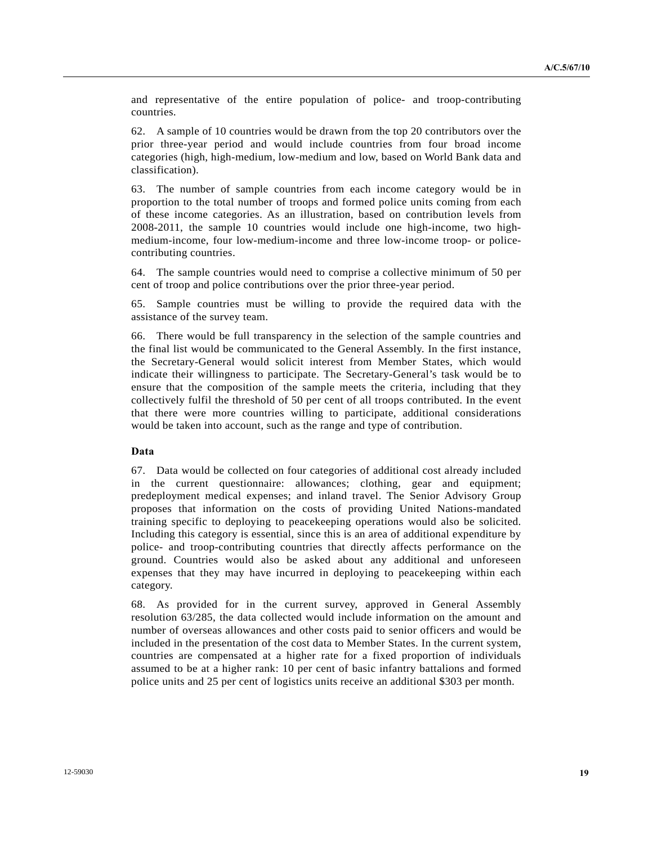and representative of the entire population of police- and troop-contributing countries.

62. A sample of 10 countries would be drawn from the top 20 contributors over the prior three-year period and would include countries from four broad income categories (high, high-medium, low-medium and low, based on World Bank data and classification).

63. The number of sample countries from each income category would be in proportion to the total number of troops and formed police units coming from each of these income categories. As an illustration, based on contribution levels from 2008-2011, the sample 10 countries would include one high-income, two highmedium-income, four low-medium-income and three low-income troop- or policecontributing countries.

64. The sample countries would need to comprise a collective minimum of 50 per cent of troop and police contributions over the prior three-year period.

65. Sample countries must be willing to provide the required data with the assistance of the survey team.

66. There would be full transparency in the selection of the sample countries and the final list would be communicated to the General Assembly. In the first instance, the Secretary-General would solicit interest from Member States, which would indicate their willingness to participate. The Secretary-General's task would be to ensure that the composition of the sample meets the criteria, including that they collectively fulfil the threshold of 50 per cent of all troops contributed. In the event that there were more countries willing to participate, additional considerations would be taken into account, such as the range and type of contribution.

### **Data**

67. Data would be collected on four categories of additional cost already included in the current questionnaire: allowances; clothing, gear and equipment; predeployment medical expenses; and inland travel. The Senior Advisory Group proposes that information on the costs of providing United Nations-mandated training specific to deploying to peacekeeping operations would also be solicited. Including this category is essential, since this is an area of additional expenditure by police- and troop-contributing countries that directly affects performance on the ground. Countries would also be asked about any additional and unforeseen expenses that they may have incurred in deploying to peacekeeping within each category.

68. As provided for in the current survey, approved in General Assembly resolution 63/285, the data collected would include information on the amount and number of overseas allowances and other costs paid to senior officers and would be included in the presentation of the cost data to Member States. In the current system, countries are compensated at a higher rate for a fixed proportion of individuals assumed to be at a higher rank: 10 per cent of basic infantry battalions and formed police units and 25 per cent of logistics units receive an additional \$303 per month.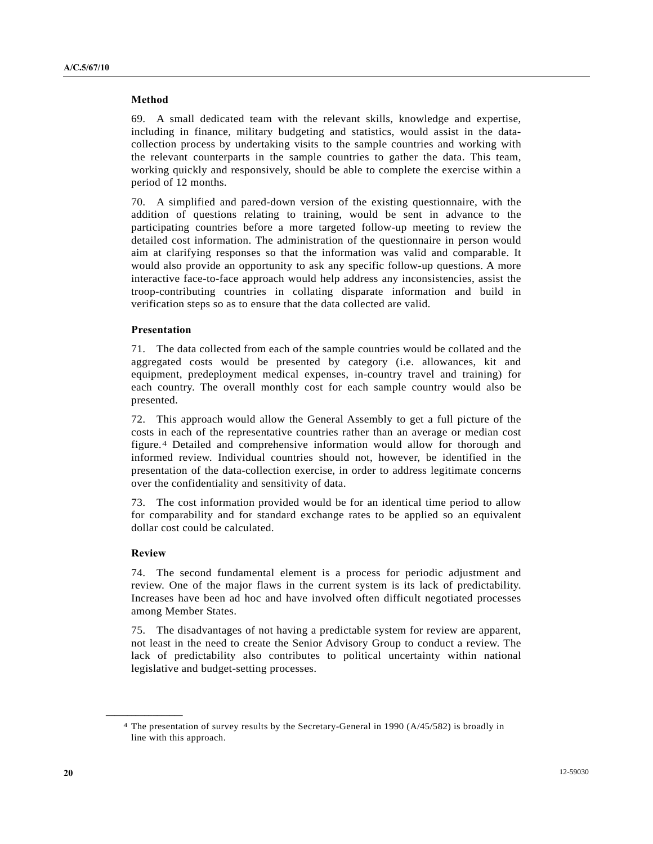#### **Method**

69. A small dedicated team with the relevant skills, knowledge and expertise, including in finance, military budgeting and statistics, would assist in the datacollection process by undertaking visits to the sample countries and working with the relevant counterparts in the sample countries to gather the data. This team, working quickly and responsively, should be able to complete the exercise within a period of 12 months.

70. A simplified and pared-down version of the existing questionnaire, with the addition of questions relating to training, would be sent in advance to the participating countries before a more targeted follow-up meeting to review the detailed cost information. The administration of the questionnaire in person would aim at clarifying responses so that the information was valid and comparable. It would also provide an opportunity to ask any specific follow-up questions. A more interactive face-to-face approach would help address any inconsistencies, assist the troop-contributing countries in collating disparate information and build in verification steps so as to ensure that the data collected are valid.

#### **Presentation**

71. The data collected from each of the sample countries would be collated and the aggregated costs would be presented by category (i.e. allowances, kit and equipment, predeployment medical expenses, in-country travel and training) for each country. The overall monthly cost for each sample country would also be presented.

72. This approach would allow the General Assembly to get a full picture of the costs in each of the representative countries rather than an average or median cost figure.[4](#page-19-0) Detailed and comprehensive information would allow for thorough and informed review. Individual countries should not, however, be identified in the presentation of the data-collection exercise, in order to address legitimate concerns over the confidentiality and sensitivity of data.

73. The cost information provided would be for an identical time period to allow for comparability and for standard exchange rates to be applied so an equivalent dollar cost could be calculated.

### **Review**

<span id="page-19-0"></span>**\_\_\_\_\_\_\_\_\_\_\_\_\_\_\_\_\_\_** 

74. The second fundamental element is a process for periodic adjustment and review. One of the major flaws in the current system is its lack of predictability. Increases have been ad hoc and have involved often difficult negotiated processes among Member States.

75. The disadvantages of not having a predictable system for review are apparent, not least in the need to create the Senior Advisory Group to conduct a review. The lack of predictability also contributes to political uncertainty within national legislative and budget-setting processes.

<sup>4</sup> The presentation of survey results by the Secretary-General in 1990 (A/45/582) is broadly in line with this approach.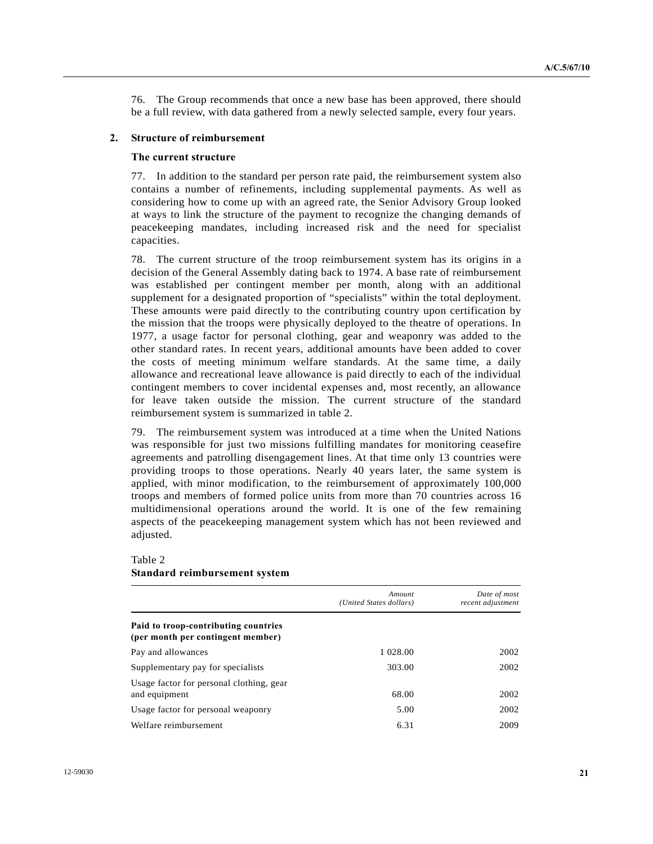76. The Group recommends that once a new base has been approved, there should be a full review, with data gathered from a newly selected sample, every four years.

#### **2. Structure of reimbursement**

#### **The current structure**

77. In addition to the standard per person rate paid, the reimbursement system also contains a number of refinements, including supplemental payments. As well as considering how to come up with an agreed rate, the Senior Advisory Group looked at ways to link the structure of the payment to recognize the changing demands of peacekeeping mandates, including increased risk and the need for specialist capacities.

78. The current structure of the troop reimbursement system has its origins in a decision of the General Assembly dating back to 1974. A base rate of reimbursement was established per contingent member per month, along with an additional supplement for a designated proportion of "specialists" within the total deployment. These amounts were paid directly to the contributing country upon certification by the mission that the troops were physically deployed to the theatre of operations. In 1977, a usage factor for personal clothing, gear and weaponry was added to the other standard rates. In recent years, additional amounts have been added to cover the costs of meeting minimum welfare standards. At the same time, a daily allowance and recreational leave allowance is paid directly to each of the individual contingent members to cover incidental expenses and, most recently, an allowance for leave taken outside the mission. The current structure of the standard reimbursement system is summarized in table 2.

79. The reimbursement system was introduced at a time when the United Nations was responsible for just two missions fulfilling mandates for monitoring ceasefire agreements and patrolling disengagement lines. At that time only 13 countries were providing troops to those operations. Nearly 40 years later, the same system is applied, with minor modification, to the reimbursement of approximately 100,000 troops and members of formed police units from more than 70 countries across 16 multidimensional operations around the world. It is one of the few remaining aspects of the peacekeeping management system which has not been reviewed and adjusted.

### *Amount (United States dollars) Date of most recent adjustment*  **Paid to troop-contributing countries (per month per contingent member)**  Pay and allowances 1 028.00 2002 Supplementary pay for specialists 303.00 2002 Usage factor for personal clothing, gear and equipment 68.00 2002 Usage factor for personal weaponry 5.00 2002 Welfare reimbursement and the contract of the contract of the contract of the contract of the contract of the contract of the contract of the contract of the contract of the contract of the contract of the contract of the

### Table 2 **Standard reimbursement system**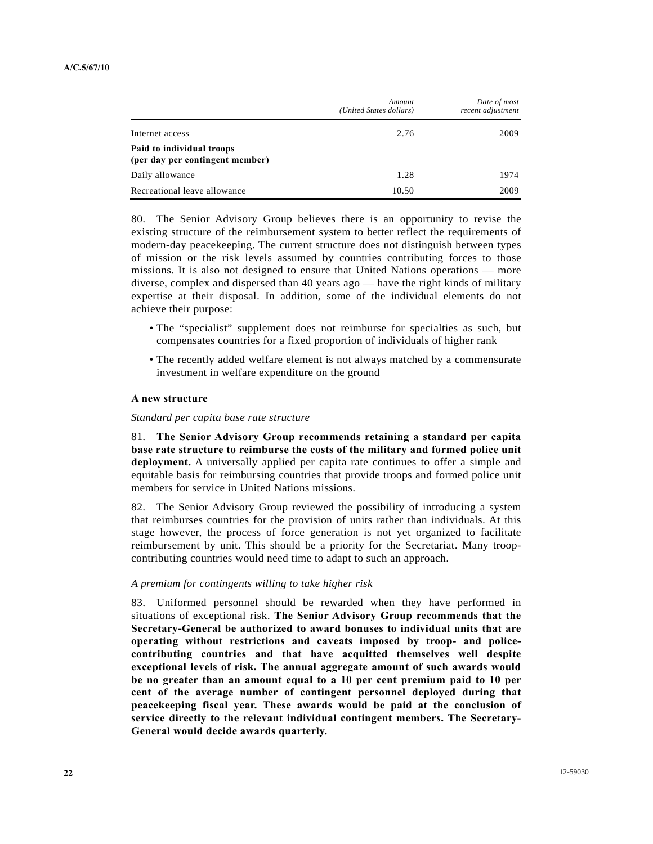|                                                              | Amount<br>(United States dollars) | Date of most<br>recent adjustment |
|--------------------------------------------------------------|-----------------------------------|-----------------------------------|
| Internet access                                              | 2.76                              | 2009                              |
| Paid to individual troops<br>(per day per contingent member) |                                   |                                   |
| Daily allowance                                              | 1.28                              | 1974                              |
| Recreational leave allowance                                 | 10.50                             | 2009                              |

80. The Senior Advisory Group believes there is an opportunity to revise the existing structure of the reimbursement system to better reflect the requirements of modern-day peacekeeping. The current structure does not distinguish between types of mission or the risk levels assumed by countries contributing forces to those missions. It is also not designed to ensure that United Nations operations — more diverse, complex and dispersed than 40 years ago — have the right kinds of military expertise at their disposal. In addition, some of the individual elements do not achieve their purpose:

- The "specialist" supplement does not reimburse for specialties as such, but compensates countries for a fixed proportion of individuals of higher rank
- The recently added welfare element is not always matched by a commensurate investment in welfare expenditure on the ground

#### **A new structure**

#### *Standard per capita base rate structure*

81. **The Senior Advisory Group recommends retaining a standard per capita base rate structure to reimburse the costs of the military and formed police unit deployment.** A universally applied per capita rate continues to offer a simple and equitable basis for reimbursing countries that provide troops and formed police unit members for service in United Nations missions.

82. The Senior Advisory Group reviewed the possibility of introducing a system that reimburses countries for the provision of units rather than individuals. At this stage however, the process of force generation is not yet organized to facilitate reimbursement by unit. This should be a priority for the Secretariat. Many troopcontributing countries would need time to adapt to such an approach.

#### *A premium for contingents willing to take higher risk*

83. Uniformed personnel should be rewarded when they have performed in situations of exceptional risk. **The Senior Advisory Group recommends that the Secretary-General be authorized to award bonuses to individual units that are operating without restrictions and caveats imposed by troop- and policecontributing countries and that have acquitted themselves well despite exceptional levels of risk. The annual aggregate amount of such awards would be no greater than an amount equal to a 10 per cent premium paid to 10 per cent of the average number of contingent personnel deployed during that peacekeeping fiscal year. These awards would be paid at the conclusion of service directly to the relevant individual contingent members. The Secretary-General would decide awards quarterly.**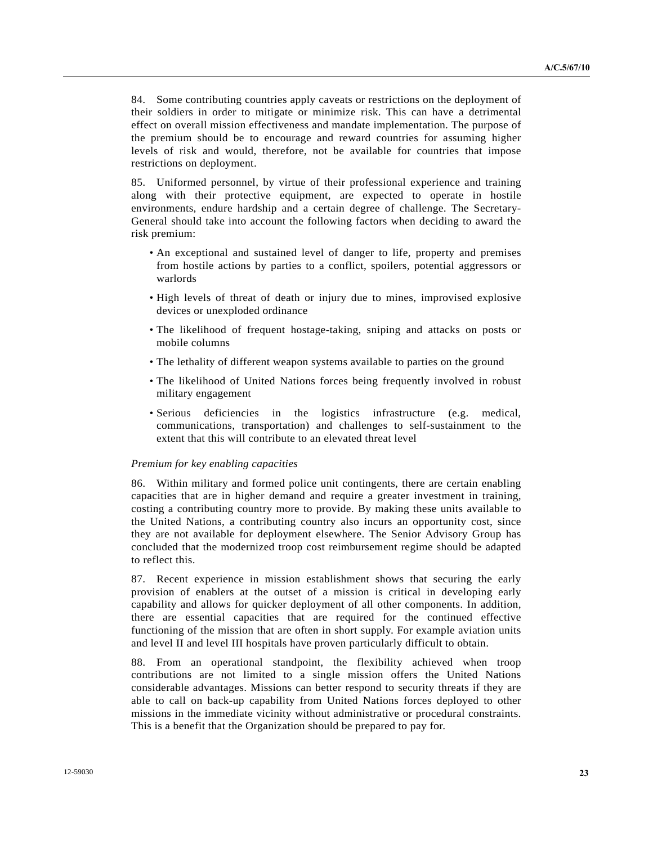84. Some contributing countries apply caveats or restrictions on the deployment of their soldiers in order to mitigate or minimize risk. This can have a detrimental effect on overall mission effectiveness and mandate implementation. The purpose of the premium should be to encourage and reward countries for assuming higher levels of risk and would, therefore, not be available for countries that impose restrictions on deployment.

85. Uniformed personnel, by virtue of their professional experience and training along with their protective equipment, are expected to operate in hostile environments, endure hardship and a certain degree of challenge. The Secretary-General should take into account the following factors when deciding to award the risk premium:

- An exceptional and sustained level of danger to life, property and premises from hostile actions by parties to a conflict, spoilers, potential aggressors or warlords
- High levels of threat of death or injury due to mines, improvised explosive devices or unexploded ordinance
- The likelihood of frequent hostage-taking, sniping and attacks on posts or mobile columns
- The lethality of different weapon systems available to parties on the ground
- The likelihood of United Nations forces being frequently involved in robust military engagement
- Serious deficiencies in the logistics infrastructure (e.g. medical, communications, transportation) and challenges to self-sustainment to the extent that this will contribute to an elevated threat level

#### *Premium for key enabling capacities*

86. Within military and formed police unit contingents, there are certain enabling capacities that are in higher demand and require a greater investment in training, costing a contributing country more to provide. By making these units available to the United Nations, a contributing country also incurs an opportunity cost, since they are not available for deployment elsewhere. The Senior Advisory Group has concluded that the modernized troop cost reimbursement regime should be adapted to reflect this.

87. Recent experience in mission establishment shows that securing the early provision of enablers at the outset of a mission is critical in developing early capability and allows for quicker deployment of all other components. In addition, there are essential capacities that are required for the continued effective functioning of the mission that are often in short supply. For example aviation units and level II and level III hospitals have proven particularly difficult to obtain.

88. From an operational standpoint, the flexibility achieved when troop contributions are not limited to a single mission offers the United Nations considerable advantages. Missions can better respond to security threats if they are able to call on back-up capability from United Nations forces deployed to other missions in the immediate vicinity without administrative or procedural constraints. This is a benefit that the Organization should be prepared to pay for.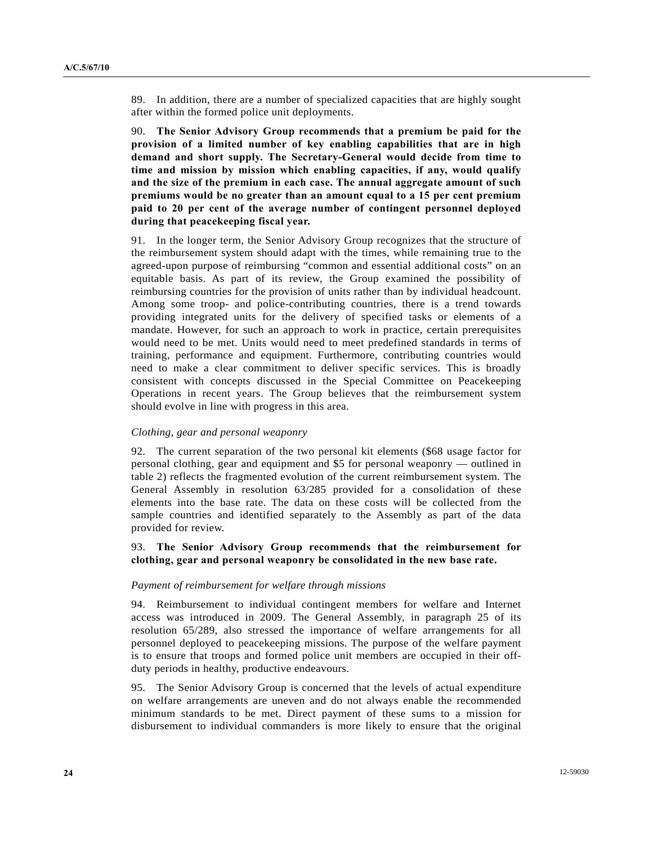89. In addition, there are a number of specialized capacities that are highly sought after within the formed police unit deployments.

90. **The Senior Advisory Group recommends that a premium be paid for the provision of a limited number of key enabling capabilities that are in high demand and short supply. The Secretary-General would decide from time to time and mission by mission which enabling capacities, if any, would qualify and the size of the premium in each case. The annual aggregate amount of such premiums would be no greater than an amount equal to a 15 per cent premium paid to 20 per cent of the average number of contingent personnel deployed during that peacekeeping fiscal year.** 

91. In the longer term, the Senior Advisory Group recognizes that the structure of the reimbursement system should adapt with the times, while remaining true to the agreed-upon purpose of reimbursing "common and essential additional costs" on an equitable basis. As part of its review, the Group examined the possibility of reimbursing countries for the provision of units rather than by individual headcount. Among some troop- and police-contributing countries, there is a trend towards providing integrated units for the delivery of specified tasks or elements of a mandate. However, for such an approach to work in practice, certain prerequisites would need to be met. Units would need to meet predefined standards in terms of training, performance and equipment. Furthermore, contributing countries would need to make a clear commitment to deliver specific services. This is broadly consistent with concepts discussed in the Special Committee on Peacekeeping Operations in recent years. The Group believes that the reimbursement system should evolve in line with progress in this area.

### *Clothing, gear and personal weaponry*

92. The current separation of the two personal kit elements (\$68 usage factor for personal clothing, gear and equipment and \$5 for personal weaponry — outlined in table 2) reflects the fragmented evolution of the current reimbursement system. The General Assembly in resolution 63/285 provided for a consolidation of these elements into the base rate. The data on these costs will be collected from the sample countries and identified separately to the Assembly as part of the data provided for review.

### 93. **The Senior Advisory Group recommends that the reimbursement for clothing, gear and personal weaponry be consolidated in the new base rate.**

#### *Payment of reimbursement for welfare through missions*

94. Reimbursement to individual contingent members for welfare and Internet access was introduced in 2009. The General Assembly, in paragraph 25 of its resolution 65/289, also stressed the importance of welfare arrangements for all personnel deployed to peacekeeping missions. The purpose of the welfare payment is to ensure that troops and formed police unit members are occupied in their offduty periods in healthy, productive endeavours.

95. The Senior Advisory Group is concerned that the levels of actual expenditure on welfare arrangements are uneven and do not always enable the recommended minimum standards to be met. Direct payment of these sums to a mission for disbursement to individual commanders is more likely to ensure that the original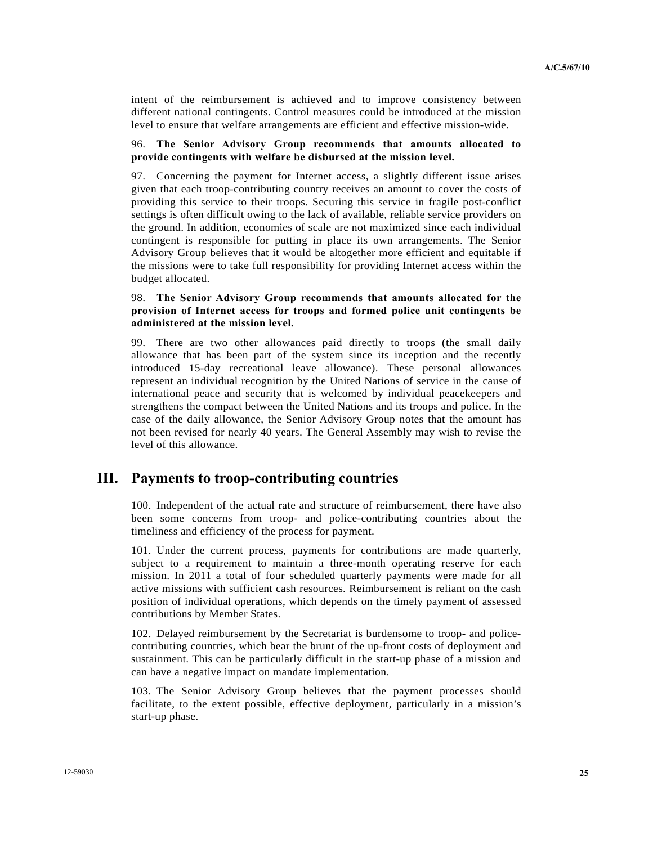intent of the reimbursement is achieved and to improve consistency between different national contingents. Control measures could be introduced at the mission level to ensure that welfare arrangements are efficient and effective mission-wide.

### 96. **The Senior Advisory Group recommends that amounts allocated to provide contingents with welfare be disbursed at the mission level.**

97. Concerning the payment for Internet access, a slightly different issue arises given that each troop-contributing country receives an amount to cover the costs of providing this service to their troops. Securing this service in fragile post-conflict settings is often difficult owing to the lack of available, reliable service providers on the ground. In addition, economies of scale are not maximized since each individual contingent is responsible for putting in place its own arrangements. The Senior Advisory Group believes that it would be altogether more efficient and equitable if the missions were to take full responsibility for providing Internet access within the budget allocated.

## 98. **The Senior Advisory Group recommends that amounts allocated for the provision of Internet access for troops and formed police unit contingents be administered at the mission level.**

99. There are two other allowances paid directly to troops (the small daily allowance that has been part of the system since its inception and the recently introduced 15-day recreational leave allowance). These personal allowances represent an individual recognition by the United Nations of service in the cause of international peace and security that is welcomed by individual peacekeepers and strengthens the compact between the United Nations and its troops and police. In the case of the daily allowance, the Senior Advisory Group notes that the amount has not been revised for nearly 40 years. The General Assembly may wish to revise the level of this allowance.

# **III. Payments to troop-contributing countries**

100. Independent of the actual rate and structure of reimbursement, there have also been some concerns from troop- and police-contributing countries about the timeliness and efficiency of the process for payment.

101. Under the current process, payments for contributions are made quarterly, subject to a requirement to maintain a three-month operating reserve for each mission. In 2011 a total of four scheduled quarterly payments were made for all active missions with sufficient cash resources. Reimbursement is reliant on the cash position of individual operations, which depends on the timely payment of assessed contributions by Member States.

102. Delayed reimbursement by the Secretariat is burdensome to troop- and policecontributing countries, which bear the brunt of the up-front costs of deployment and sustainment. This can be particularly difficult in the start-up phase of a mission and can have a negative impact on mandate implementation.

103. The Senior Advisory Group believes that the payment processes should facilitate, to the extent possible, effective deployment, particularly in a mission's start-up phase.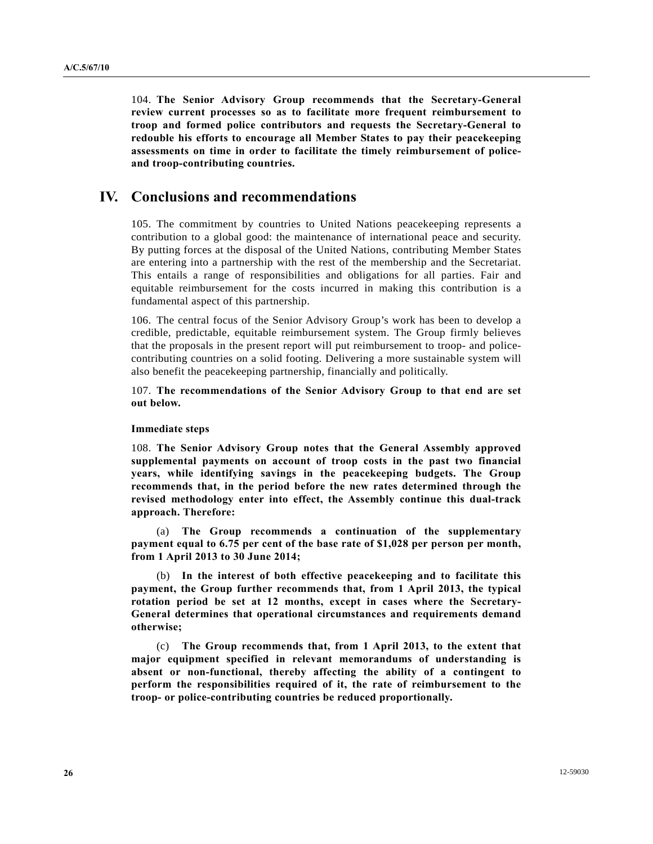104. **The Senior Advisory Group recommends that the Secretary-General review current processes so as to facilitate more frequent reimbursement to troop and formed police contributors and requests the Secretary-General to redouble his efforts to encourage all Member States to pay their peacekeeping assessments on time in order to facilitate the timely reimbursement of policeand troop-contributing countries.** 

# **IV. Conclusions and recommendations**

105. The commitment by countries to United Nations peacekeeping represents a contribution to a global good: the maintenance of international peace and security. By putting forces at the disposal of the United Nations, contributing Member States are entering into a partnership with the rest of the membership and the Secretariat. This entails a range of responsibilities and obligations for all parties. Fair and equitable reimbursement for the costs incurred in making this contribution is a fundamental aspect of this partnership.

106. The central focus of the Senior Advisory Group's work has been to develop a credible, predictable, equitable reimbursement system. The Group firmly believes that the proposals in the present report will put reimbursement to troop- and policecontributing countries on a solid footing. Delivering a more sustainable system will also benefit the peacekeeping partnership, financially and politically.

107. **The recommendations of the Senior Advisory Group to that end are set out below.** 

#### **Immediate steps**

108. **The Senior Advisory Group notes that the General Assembly approved supplemental payments on account of troop costs in the past two financial years, while identifying savings in the peacekeeping budgets. The Group recommends that, in the period before the new rates determined through the revised methodology enter into effect, the Assembly continue this dual-track approach. Therefore:** 

 (a) **The Group recommends a continuation of the supplementary payment equal to 6.75 per cent of the base rate of \$1,028 per person per month, from 1 April 2013 to 30 June 2014;** 

 (b) **In the interest of both effective peacekeeping and to facilitate this payment, the Group further recommends that, from 1 April 2013, the typical rotation period be set at 12 months, except in cases where the Secretary-General determines that operational circumstances and requirements demand otherwise;** 

 (c) **The Group recommends that, from 1 April 2013, to the extent that major equipment specified in relevant memorandums of understanding is absent or non-functional, thereby affecting the ability of a contingent to perform the responsibilities required of it, the rate of reimbursement to the troop- or police-contributing countries be reduced proportionally.**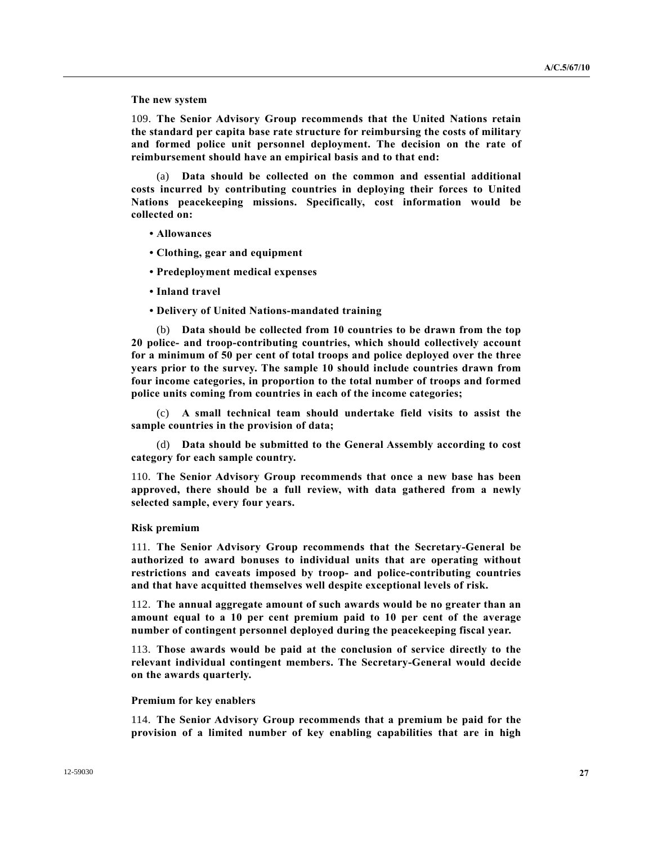#### **The new system**

109. **The Senior Advisory Group recommends that the United Nations retain the standard per capita base rate structure for reimbursing the costs of military and formed police unit personnel deployment. The decision on the rate of reimbursement should have an empirical basis and to that end:** 

 (a) **Data should be collected on the common and essential additional costs incurred by contributing countries in deploying their forces to United Nations peacekeeping missions. Specifically, cost information would be collected on:** 

- **Allowances**
- **Clothing, gear and equipment**
- **Predeployment medical expenses**
- **Inland travel**
- **Delivery of United Nations-mandated training**

 (b) **Data should be collected from 10 countries to be drawn from the top 20 police- and troop-contributing countries, which should collectively account for a minimum of 50 per cent of total troops and police deployed over the three years prior to the survey. The sample 10 should include countries drawn from four income categories, in proportion to the total number of troops and formed police units coming from countries in each of the income categories;** 

 (c) **A small technical team should undertake field visits to assist the sample countries in the provision of data;** 

 (d) **Data should be submitted to the General Assembly according to cost category for each sample country.** 

110. **The Senior Advisory Group recommends that once a new base has been approved, there should be a full review, with data gathered from a newly selected sample, every four years.** 

#### **Risk premium**

111. **The Senior Advisory Group recommends that the Secretary-General be authorized to award bonuses to individual units that are operating without restrictions and caveats imposed by troop- and police-contributing countries and that have acquitted themselves well despite exceptional levels of risk.** 

112. **The annual aggregate amount of such awards would be no greater than an amount equal to a 10 per cent premium paid to 10 per cent of the average number of contingent personnel deployed during the peacekeeping fiscal year.** 

113. **Those awards would be paid at the conclusion of service directly to the relevant individual contingent members. The Secretary-General would decide on the awards quarterly.** 

#### **Premium for key enablers**

114. **The Senior Advisory Group recommends that a premium be paid for the provision of a limited number of key enabling capabilities that are in high**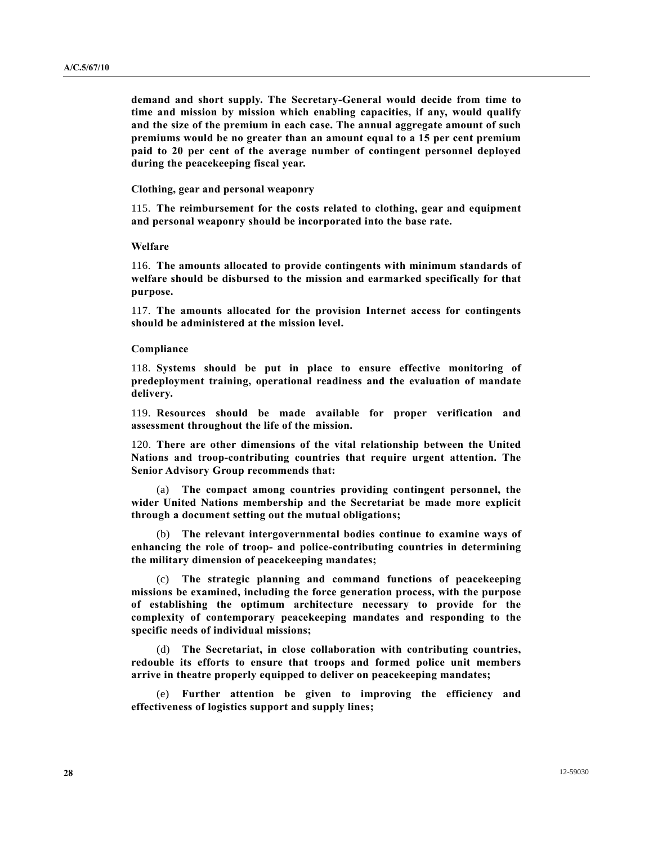**demand and short supply. The Secretary-General would decide from time to time and mission by mission which enabling capacities, if any, would qualify and the size of the premium in each case. The annual aggregate amount of such premiums would be no greater than an amount equal to a 15 per cent premium paid to 20 per cent of the average number of contingent personnel deployed during the peacekeeping fiscal year.** 

 **Clothing, gear and personal weaponry** 

115. **The reimbursement for the costs related to clothing, gear and equipment and personal weaponry should be incorporated into the base rate.** 

#### **Welfare**

116. **The amounts allocated to provide contingents with minimum standards of welfare should be disbursed to the mission and earmarked specifically for that purpose.** 

117. **The amounts allocated for the provision Internet access for contingents should be administered at the mission level.** 

#### **Compliance**

118. **Systems should be put in place to ensure effective monitoring of predeployment training, operational readiness and the evaluation of mandate delivery.** 

119. **Resources should be made available for proper verification and assessment throughout the life of the mission.** 

120. **There are other dimensions of the vital relationship between the United Nations and troop-contributing countries that require urgent attention. The Senior Advisory Group recommends that:** 

 (a) **The compact among countries providing contingent personnel, the wider United Nations membership and the Secretariat be made more explicit through a document setting out the mutual obligations;** 

 (b) **The relevant intergovernmental bodies continue to examine ways of enhancing the role of troop- and police-contributing countries in determining the military dimension of peacekeeping mandates;** 

 (c) **The strategic planning and command functions of peacekeeping missions be examined, including the force generation process, with the purpose of establishing the optimum architecture necessary to provide for the complexity of contemporary peacekeeping mandates and responding to the specific needs of individual missions;** 

 (d) **The Secretariat, in close collaboration with contributing countries, redouble its efforts to ensure that troops and formed police unit members arrive in theatre properly equipped to deliver on peacekeeping mandates;** 

 (e) **Further attention be given to improving the efficiency and effectiveness of logistics support and supply lines;**